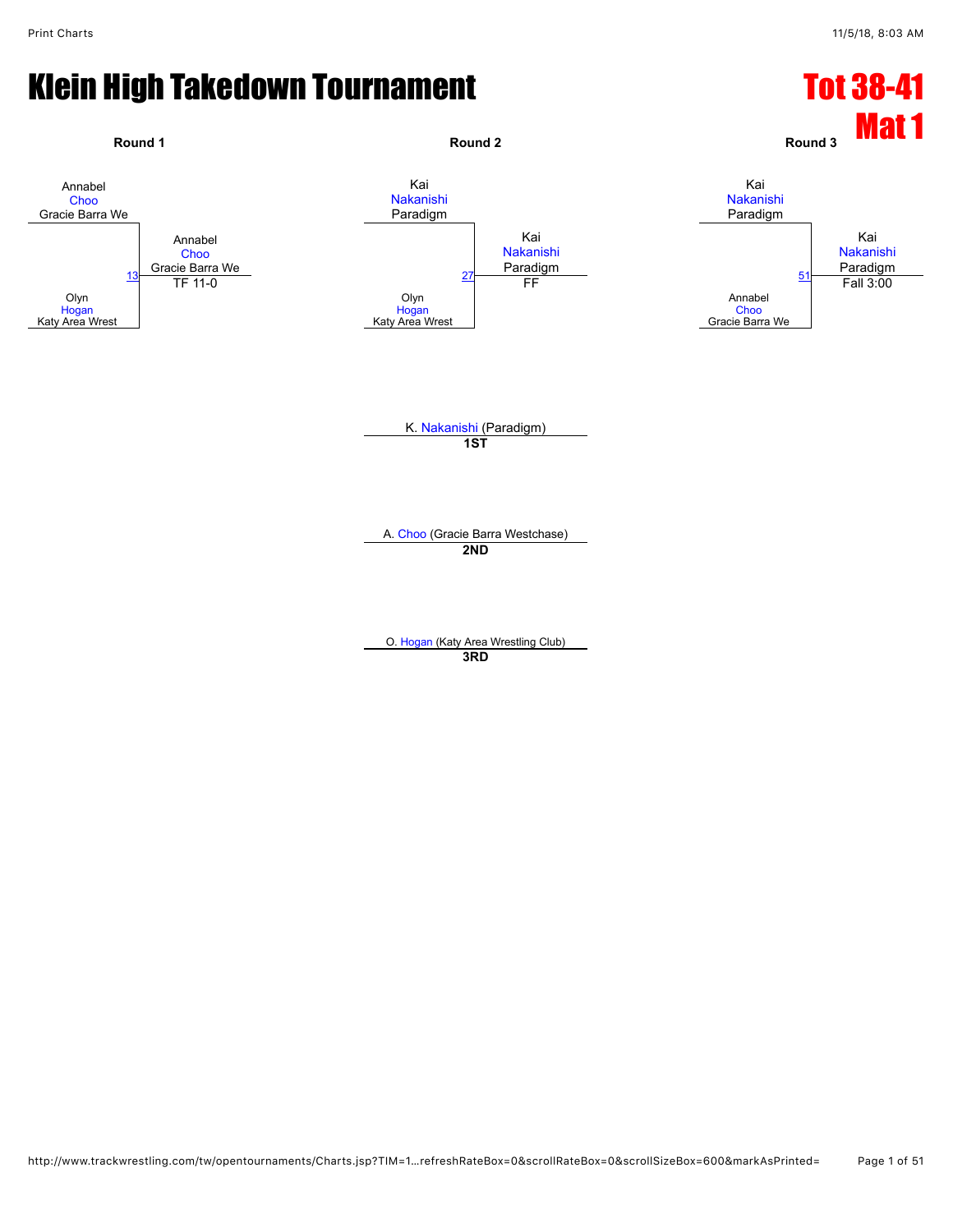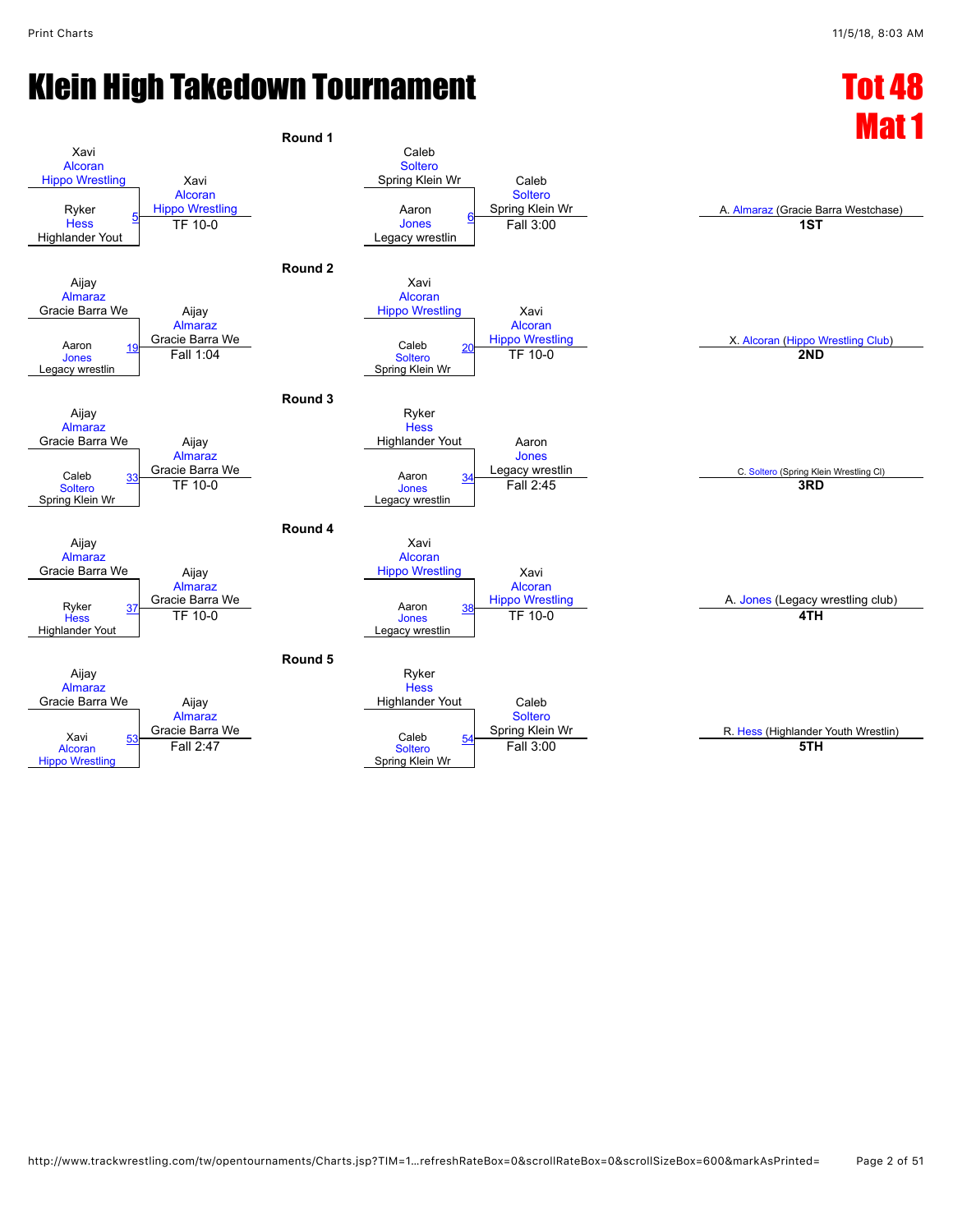## Klein High Takedown Tournament Number 2008 1988 Tot 48

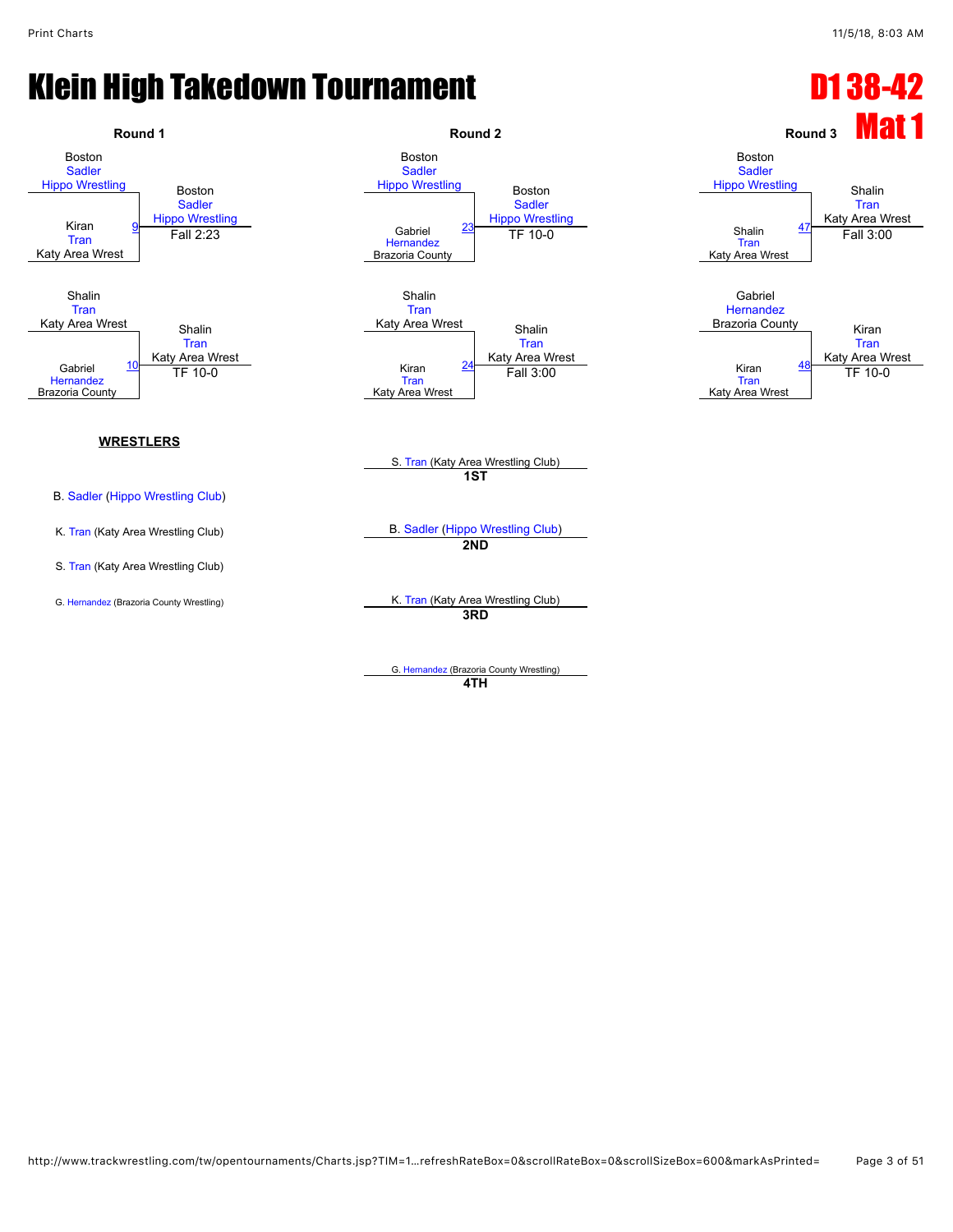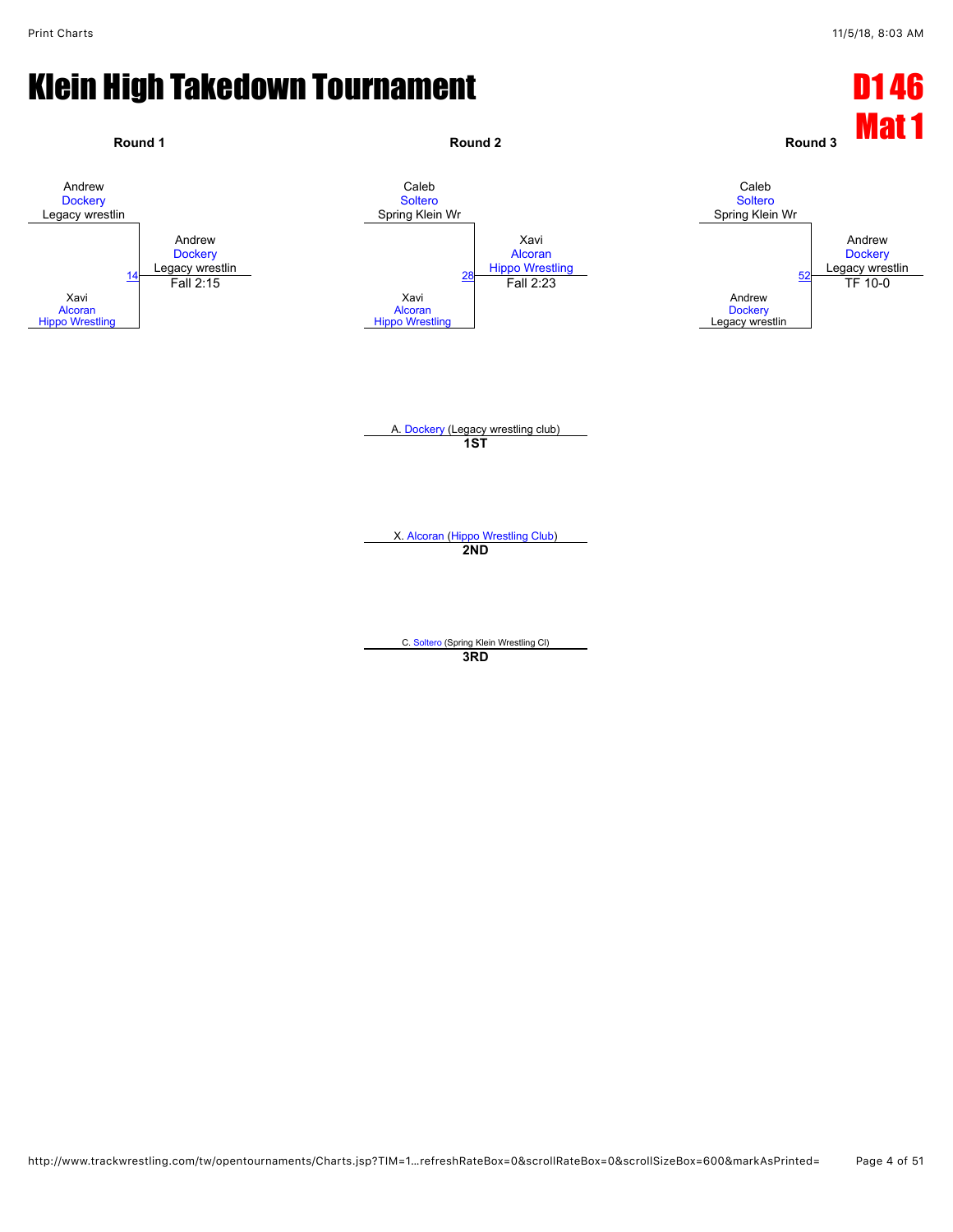![](_page_3_Figure_3.jpeg)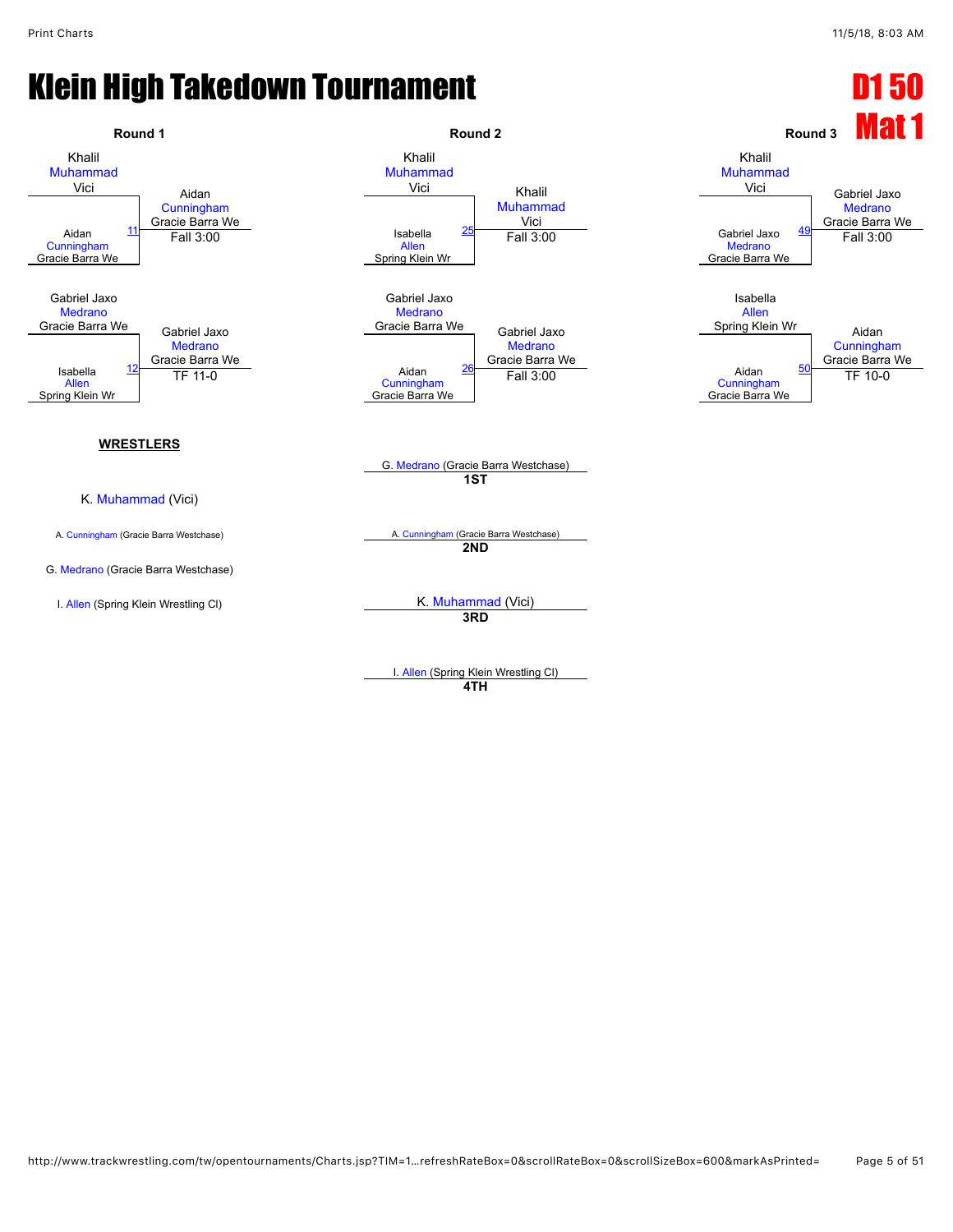![](_page_4_Figure_3.jpeg)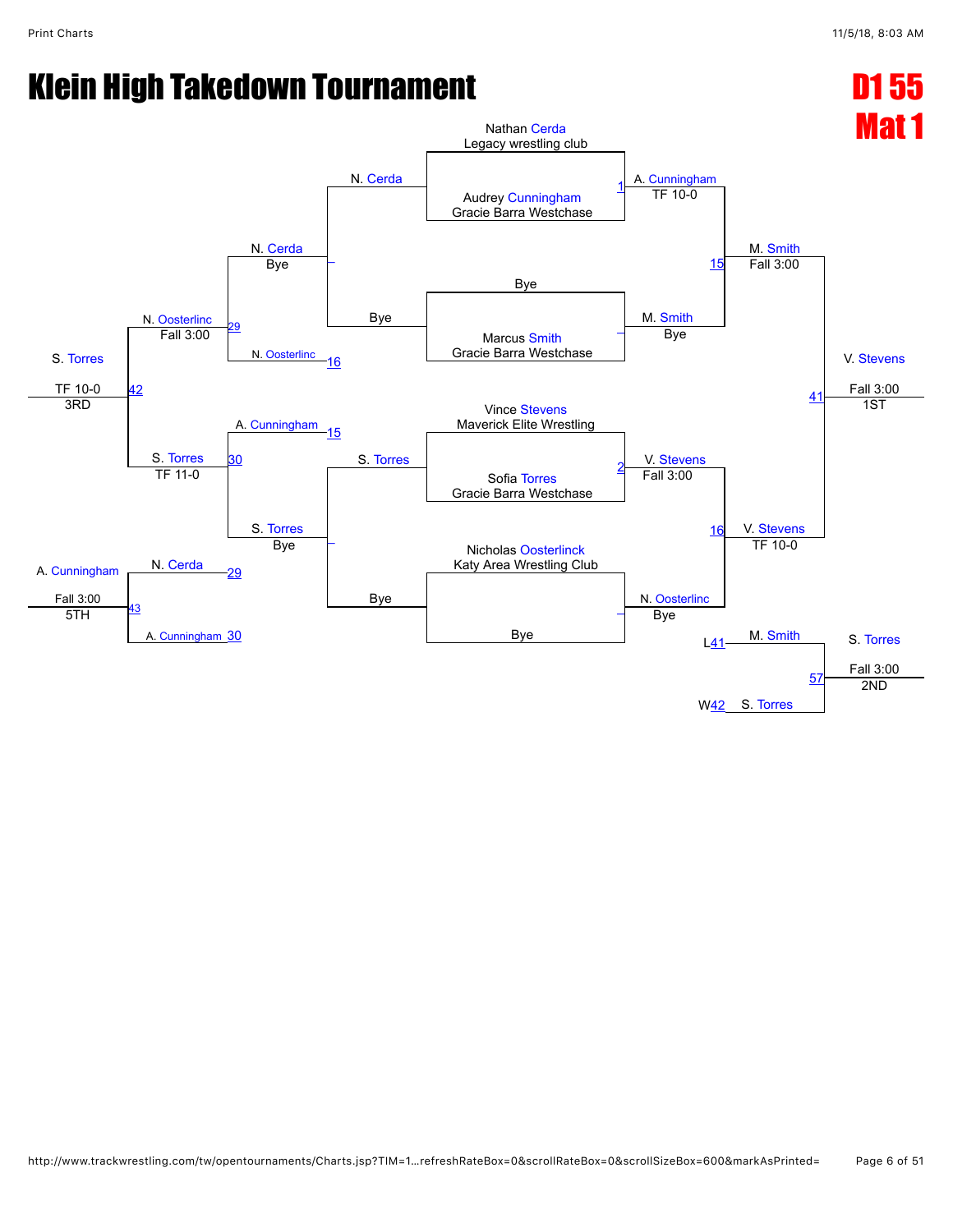![](_page_5_Figure_3.jpeg)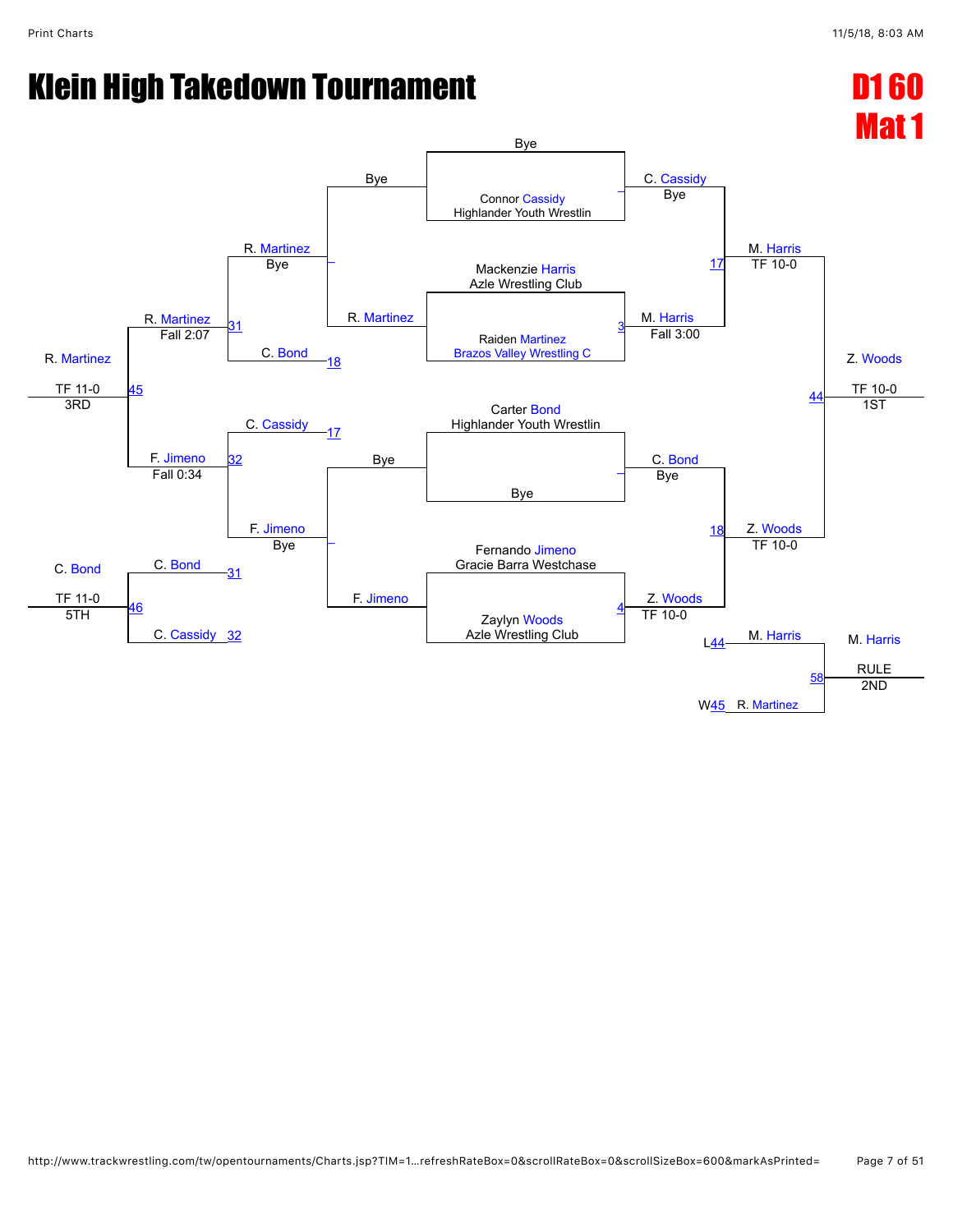![](_page_6_Figure_3.jpeg)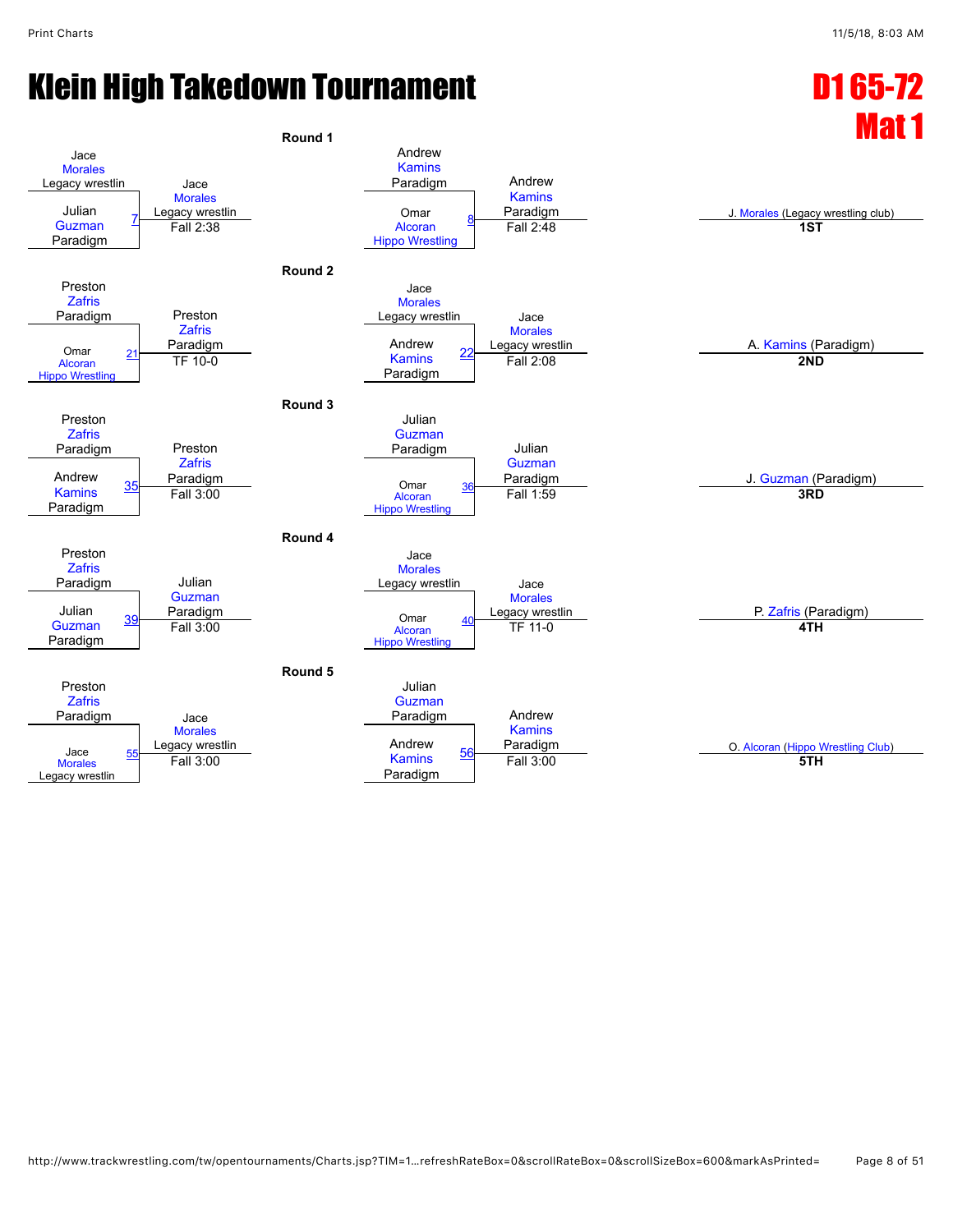![](_page_7_Figure_3.jpeg)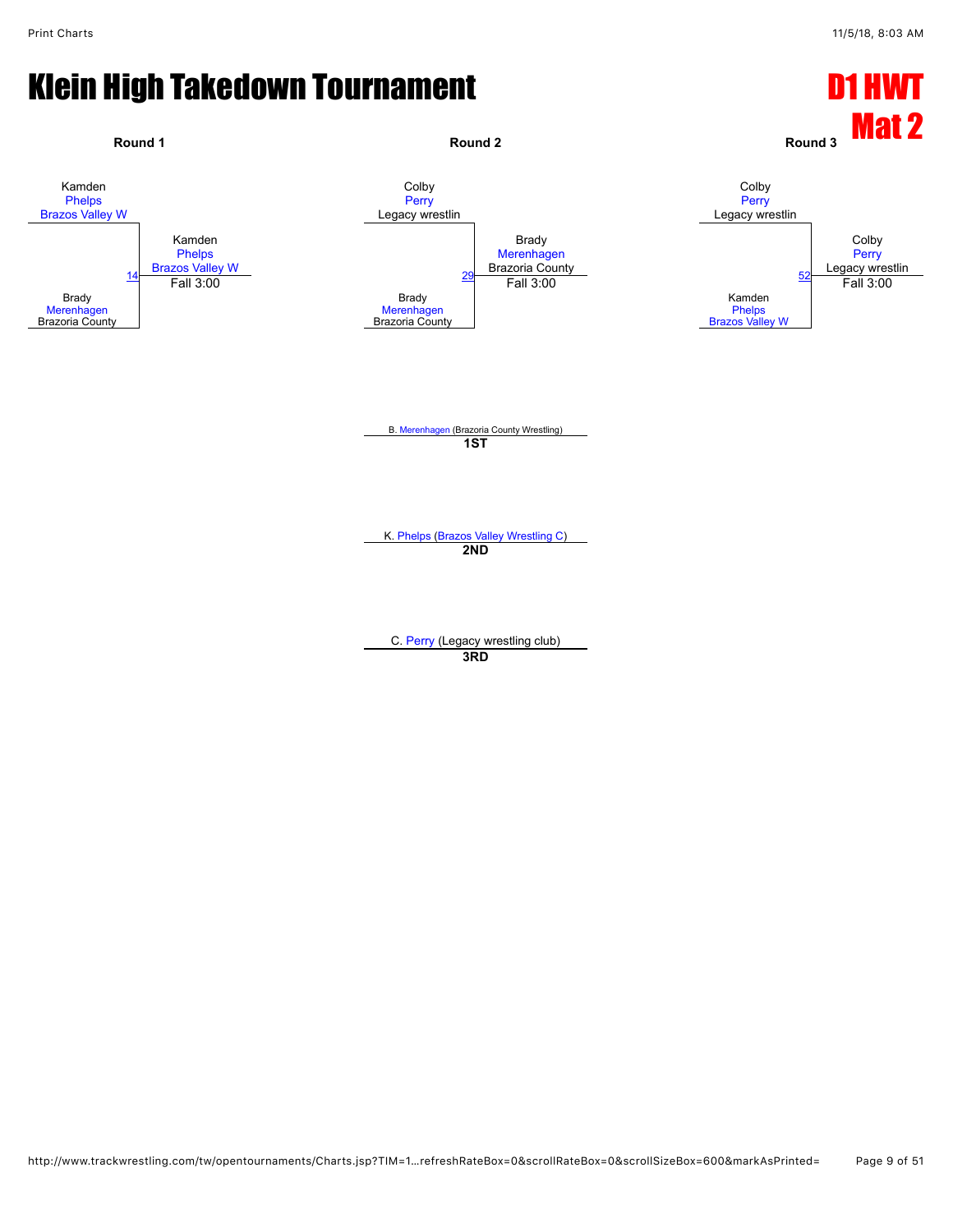![](_page_8_Figure_3.jpeg)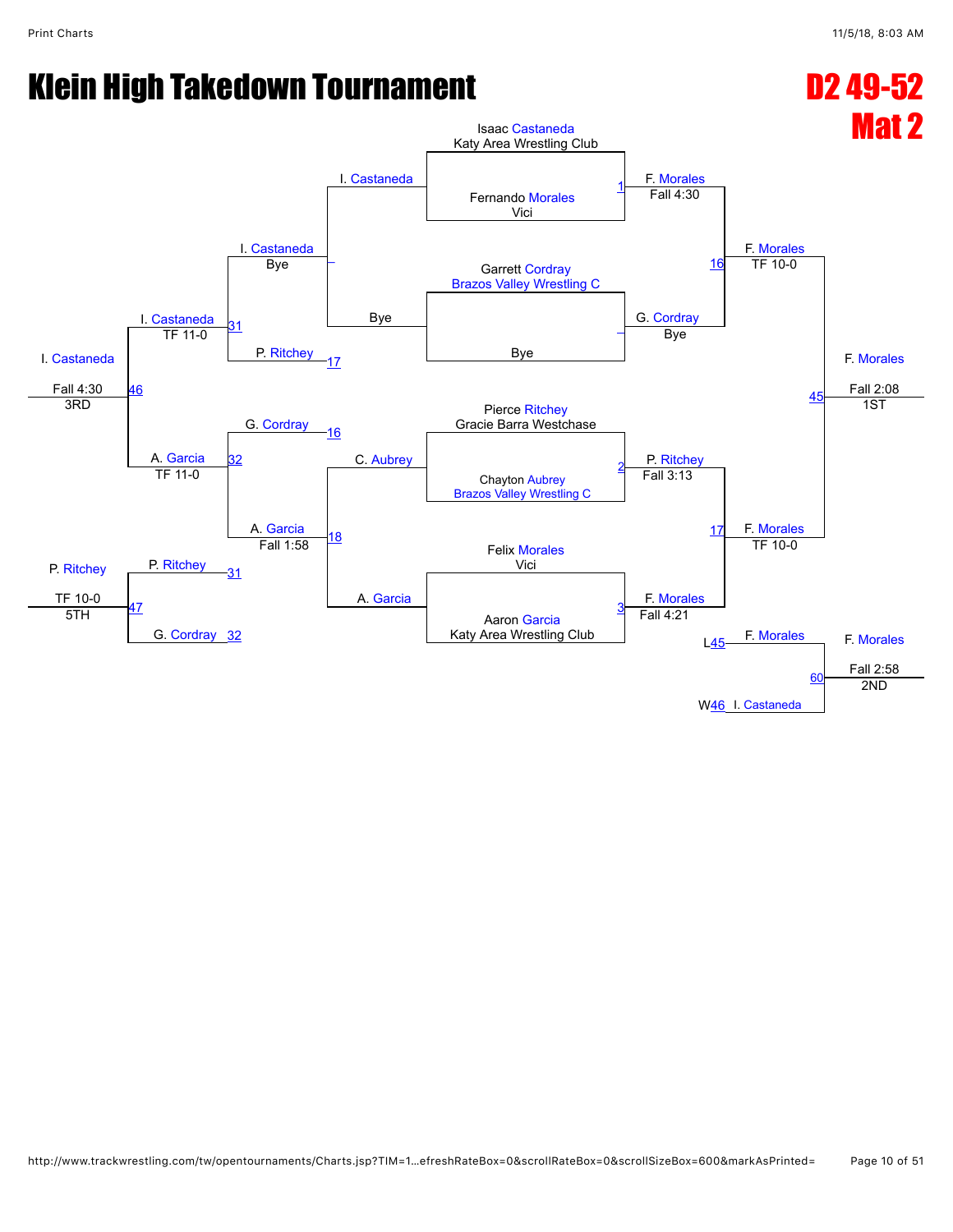![](_page_9_Figure_3.jpeg)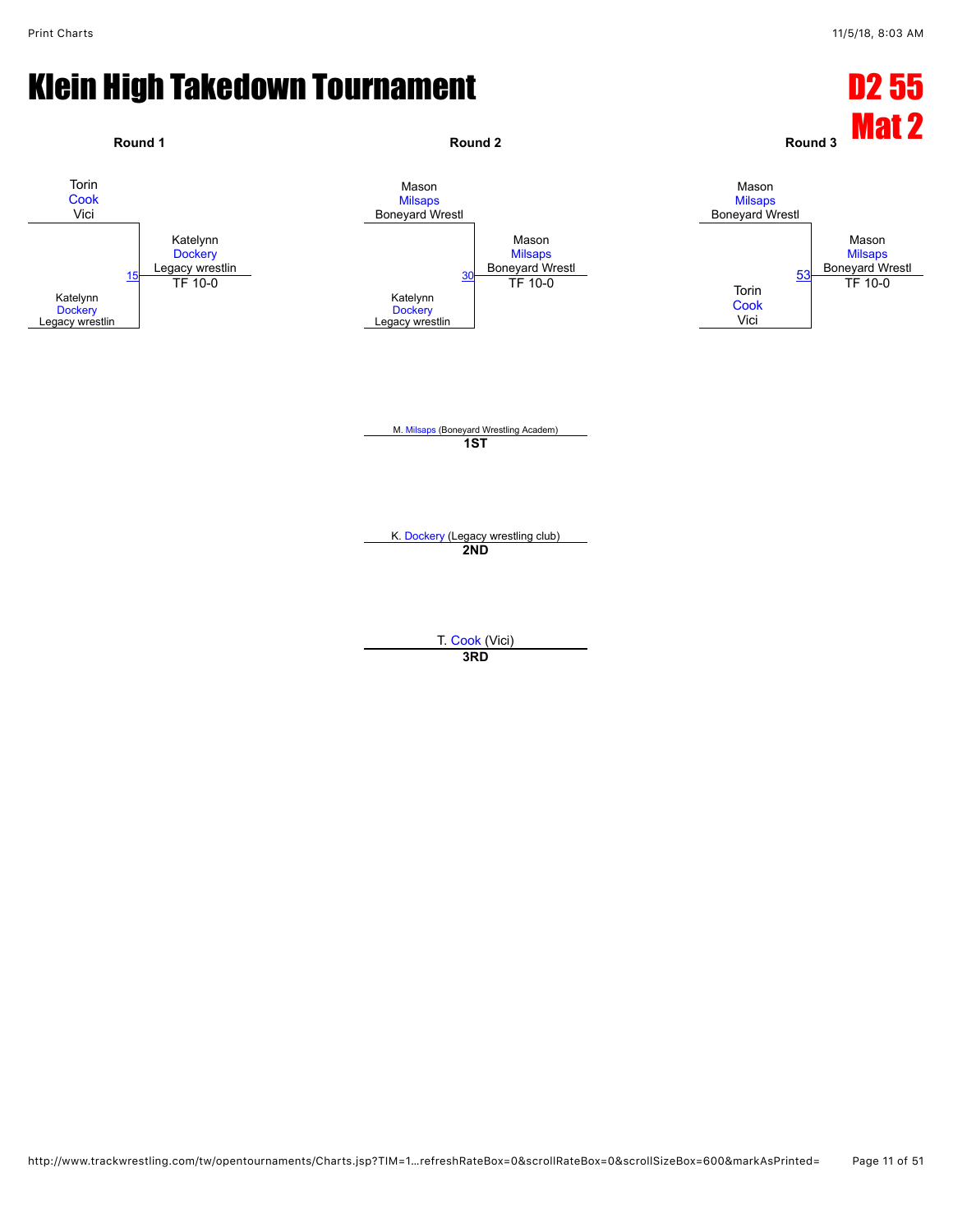![](_page_10_Figure_3.jpeg)

**3RD**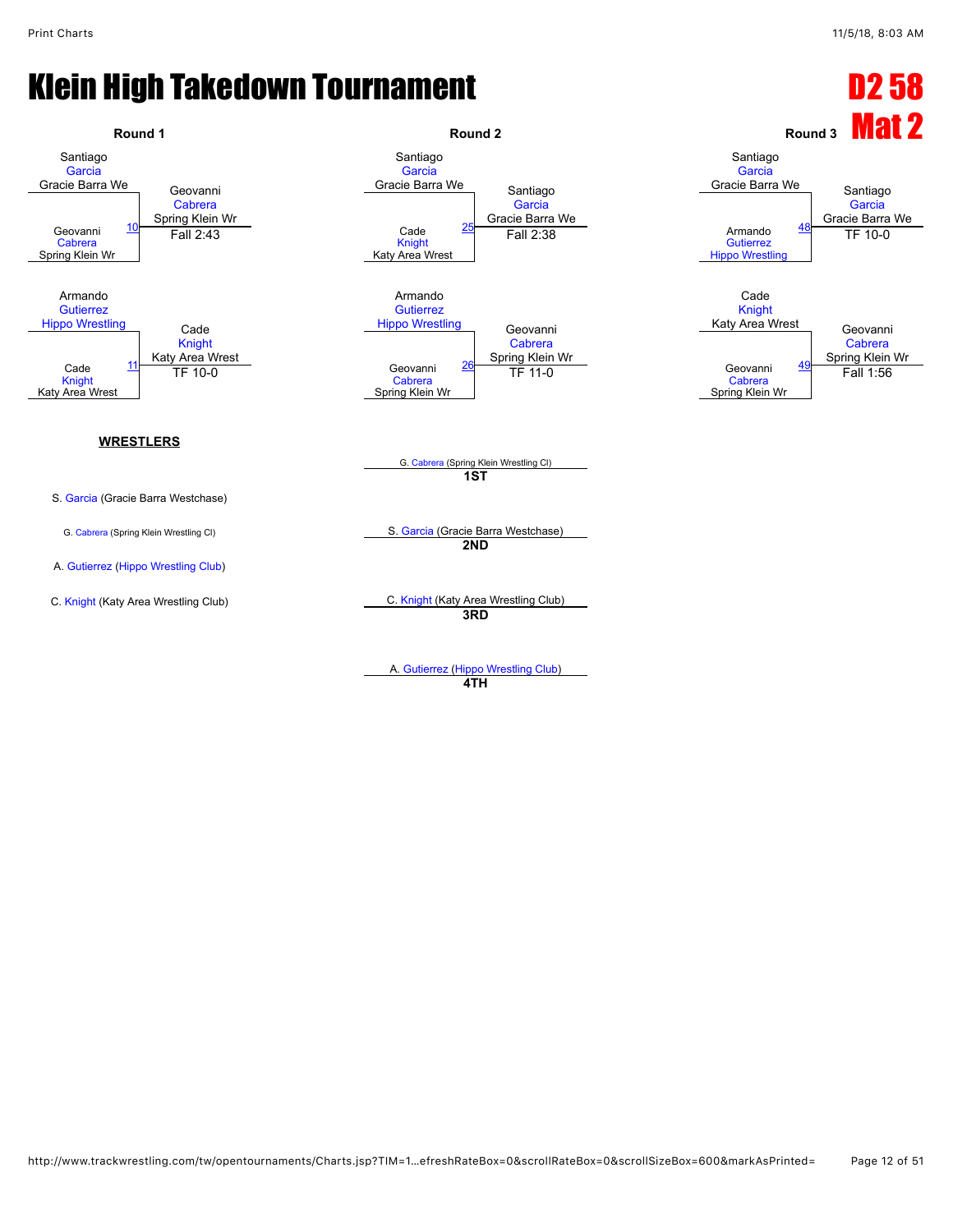![](_page_11_Figure_3.jpeg)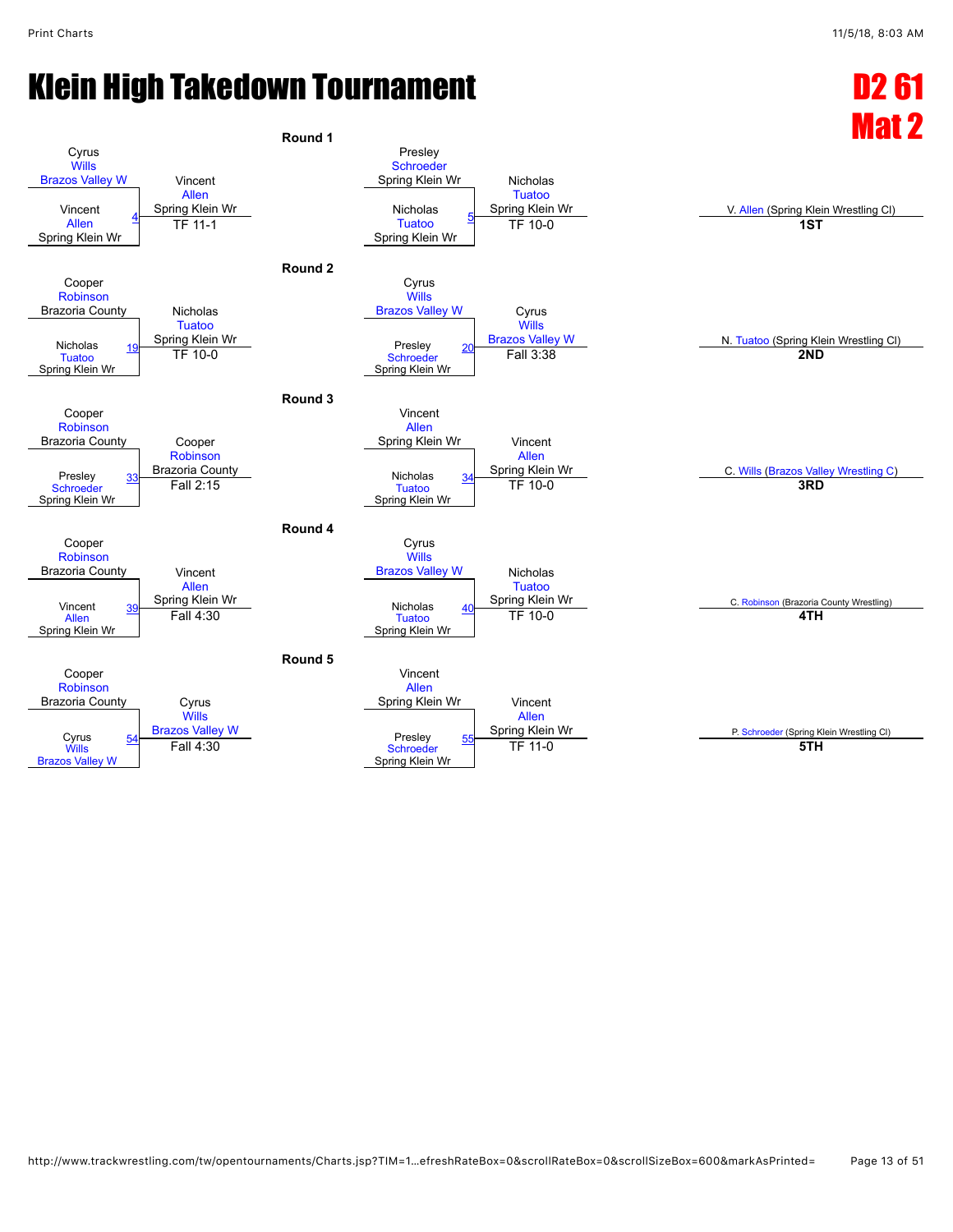![](_page_12_Figure_3.jpeg)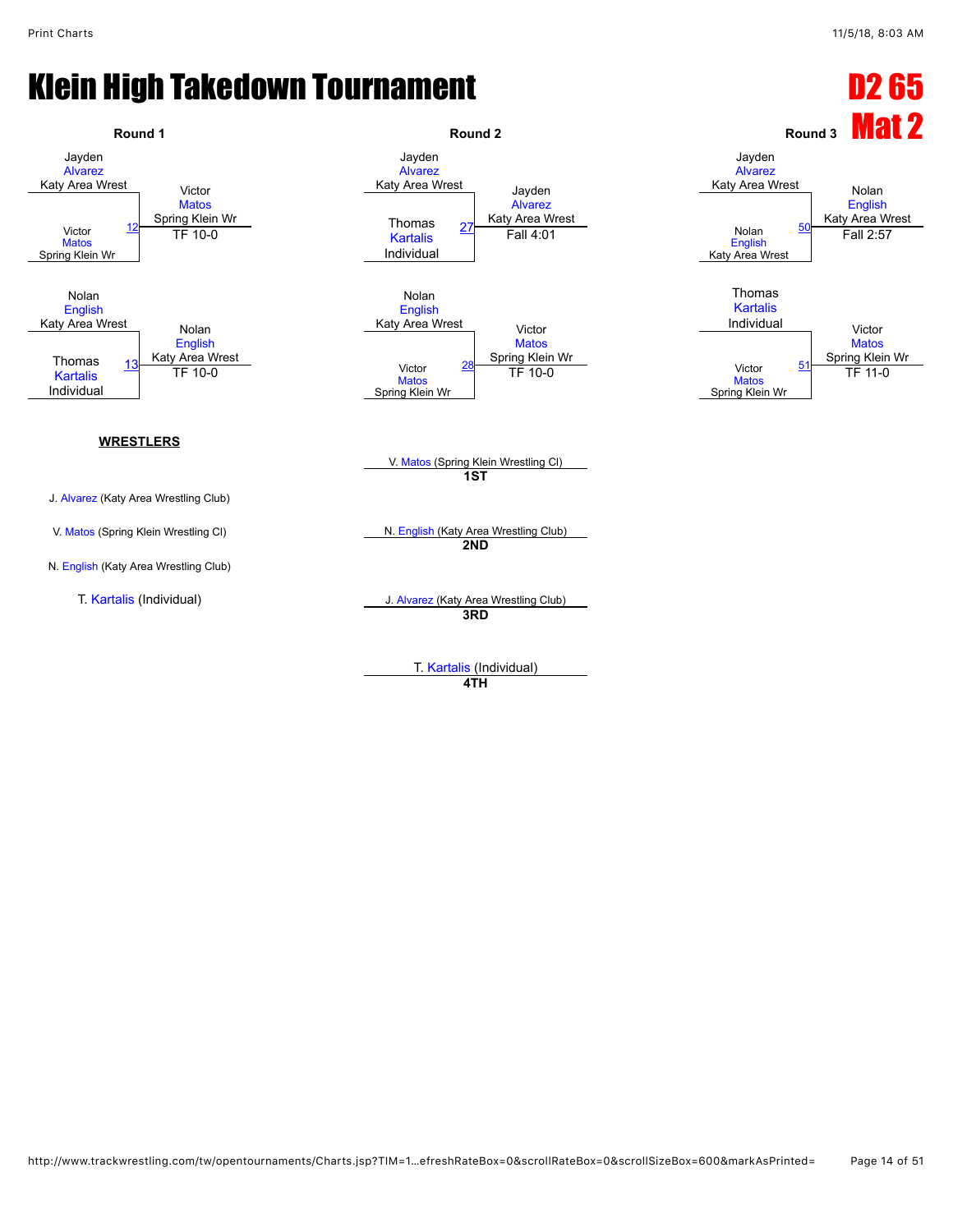![](_page_13_Figure_3.jpeg)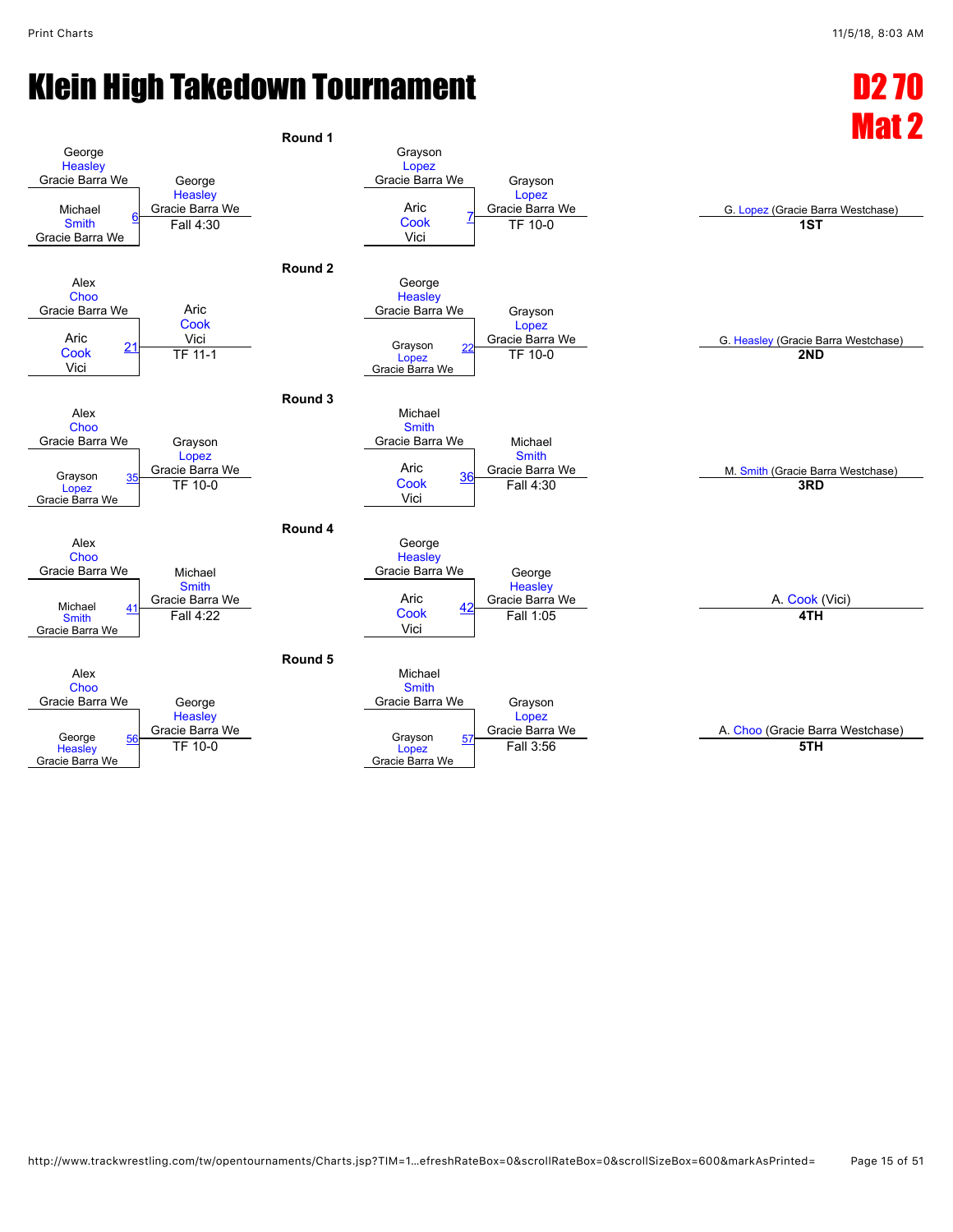![](_page_14_Figure_3.jpeg)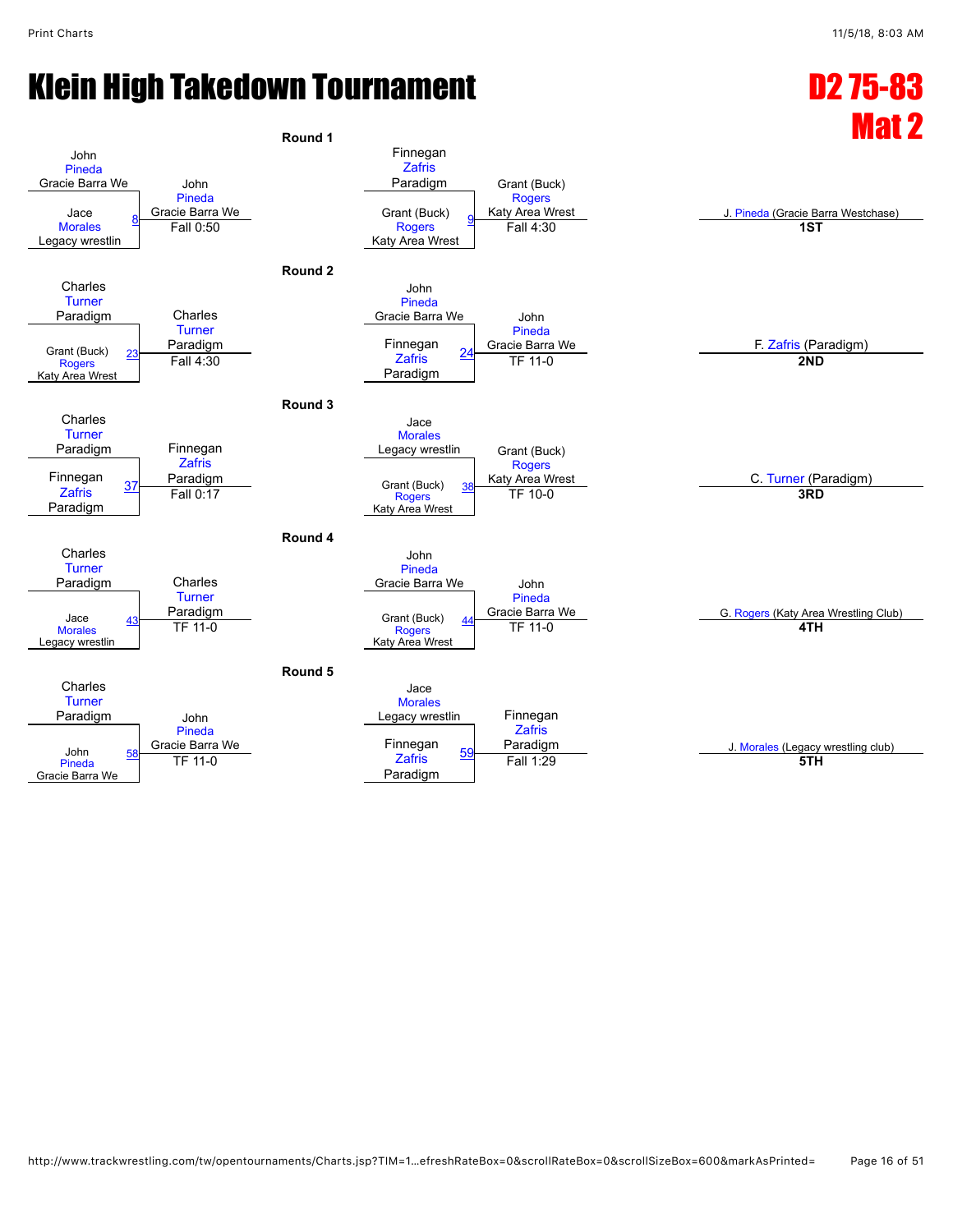![](_page_15_Figure_3.jpeg)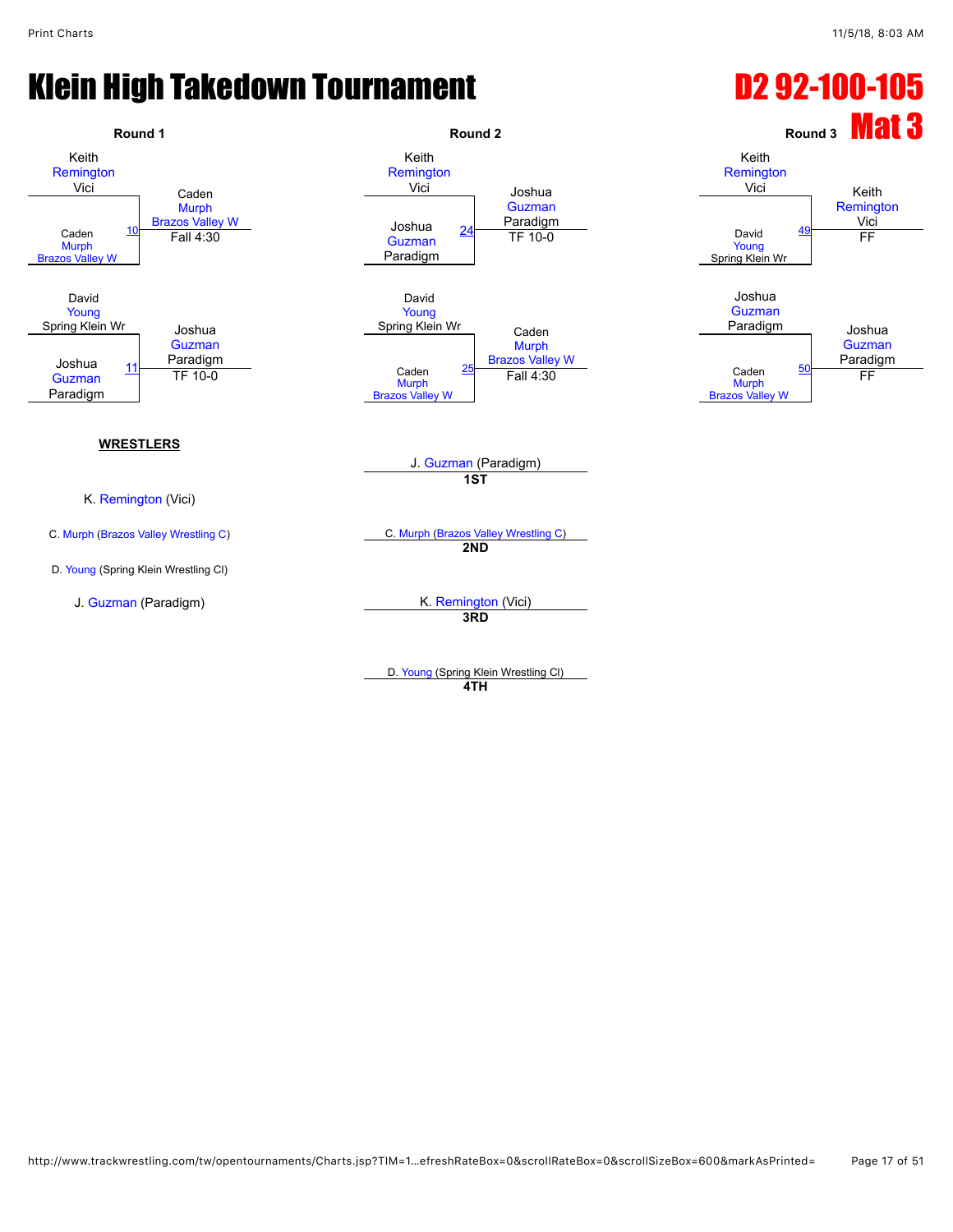## Klein High Takedown Tournament **D2 92-100-105**

![](_page_16_Figure_3.jpeg)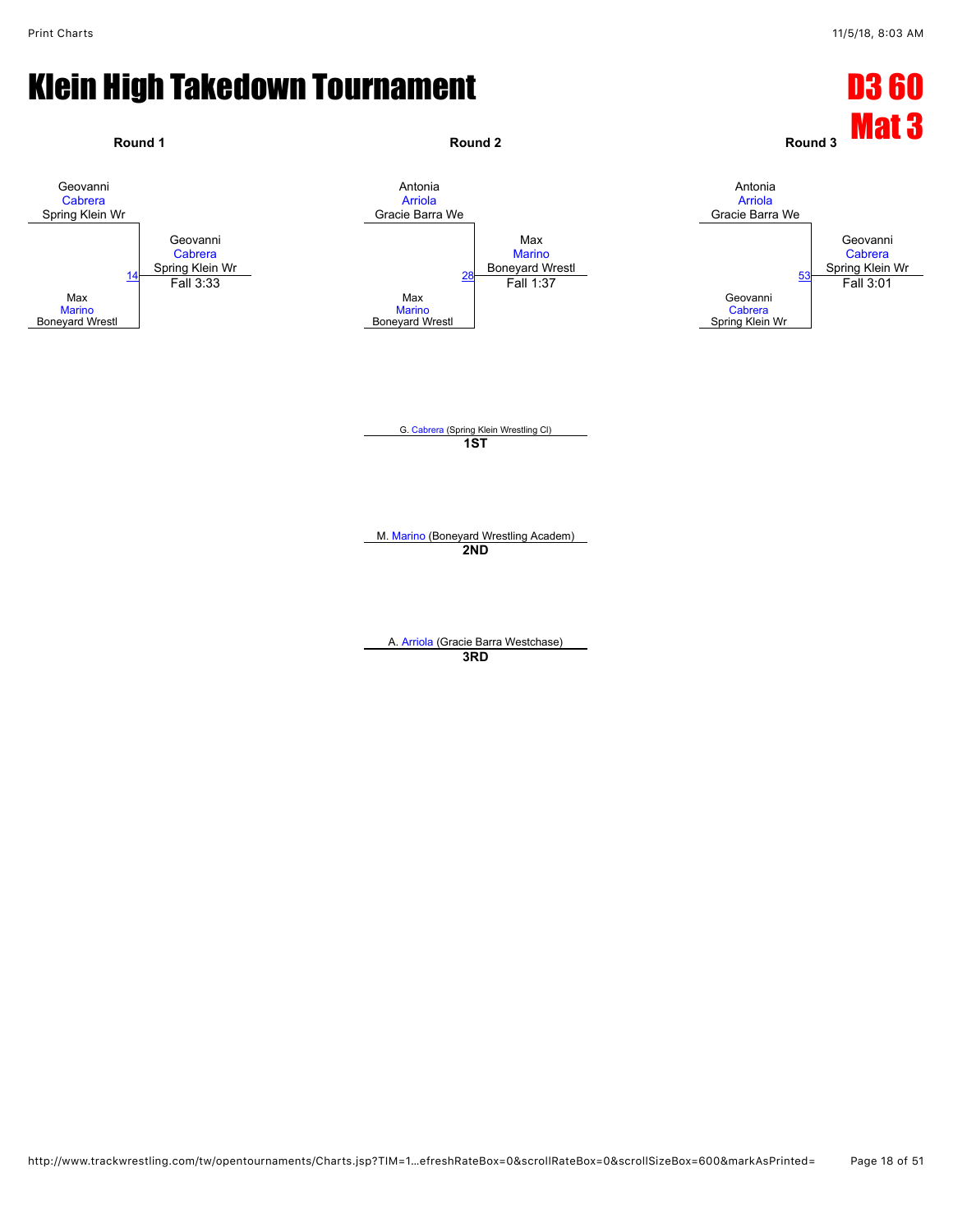![](_page_17_Figure_3.jpeg)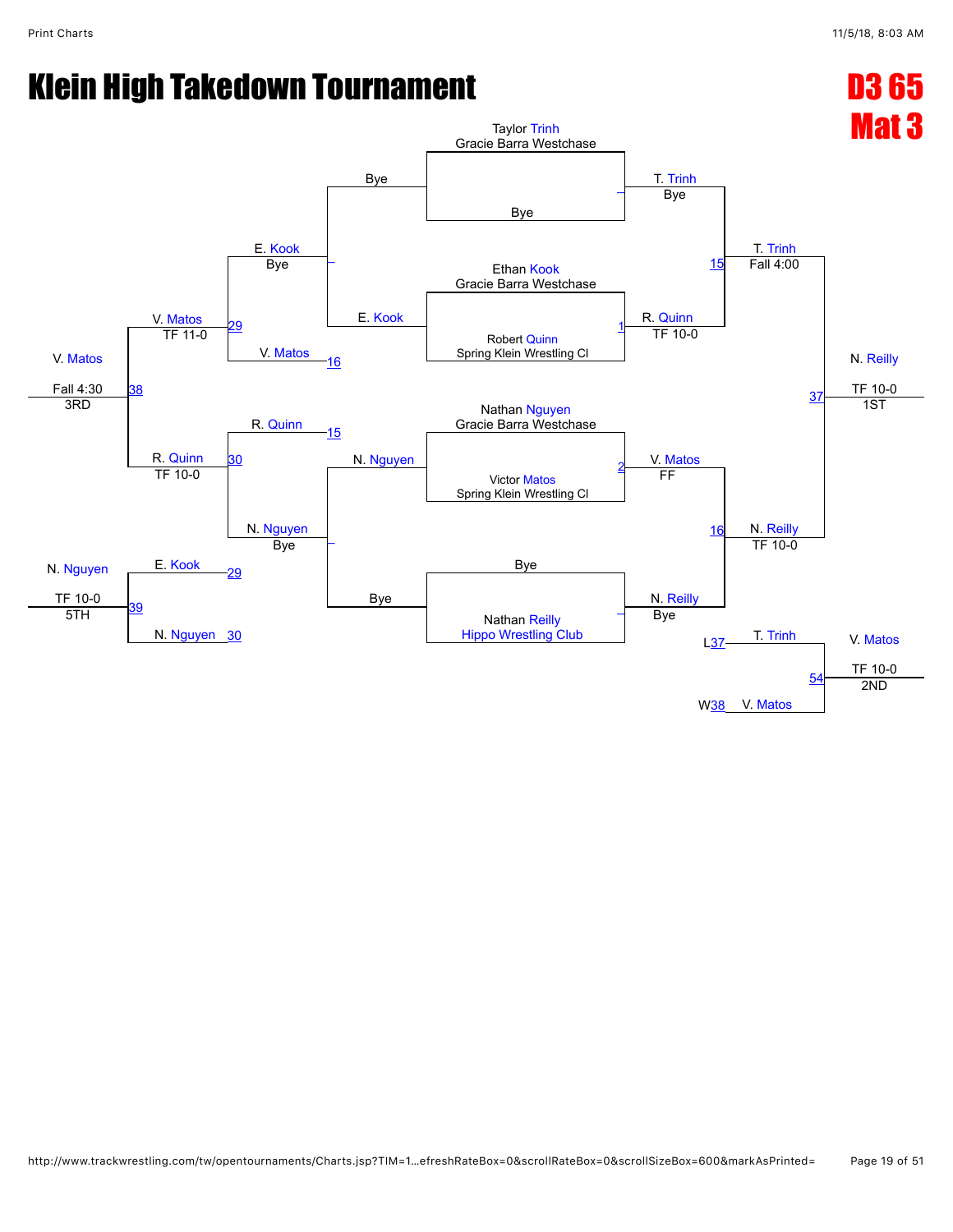![](_page_18_Figure_3.jpeg)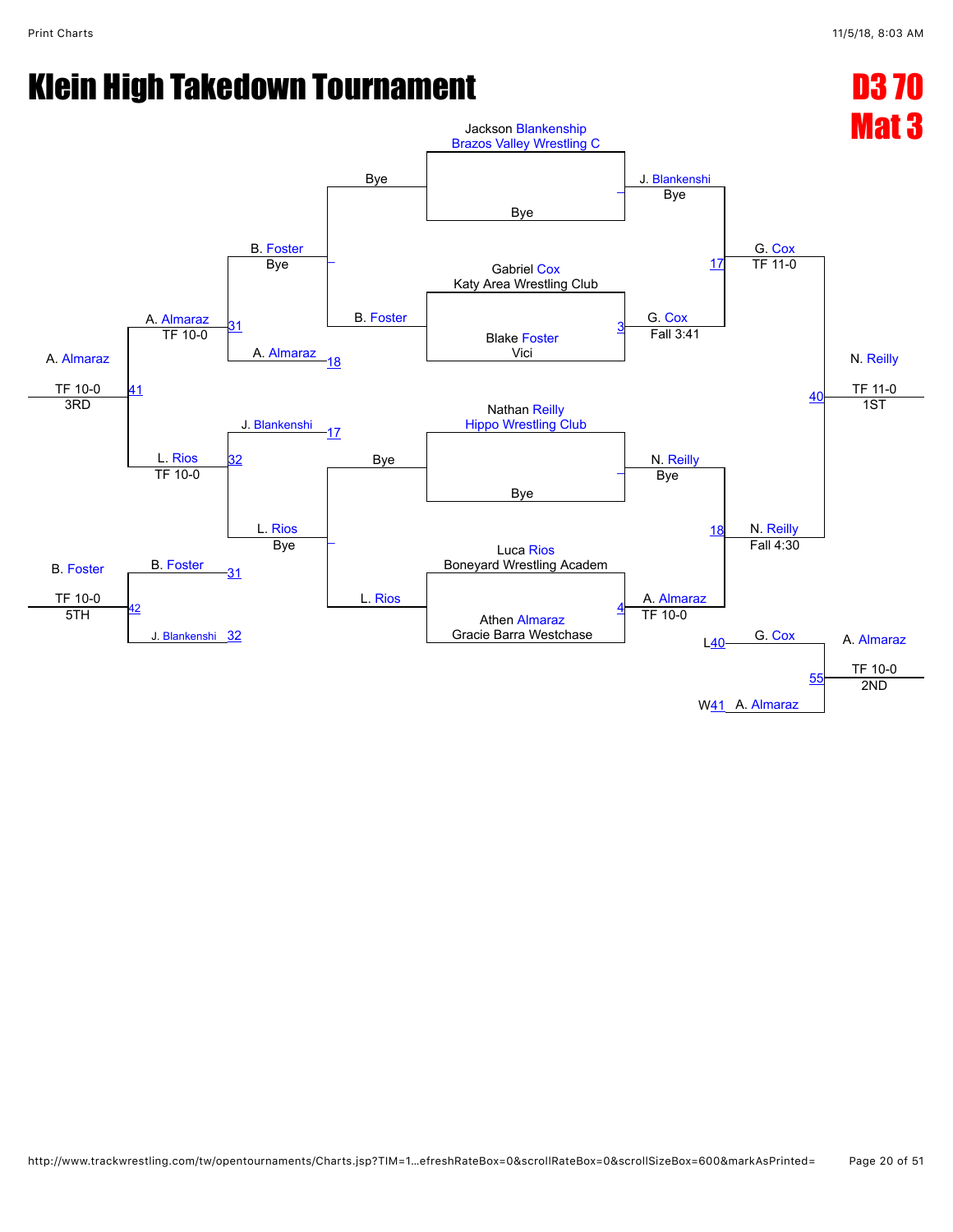![](_page_19_Figure_3.jpeg)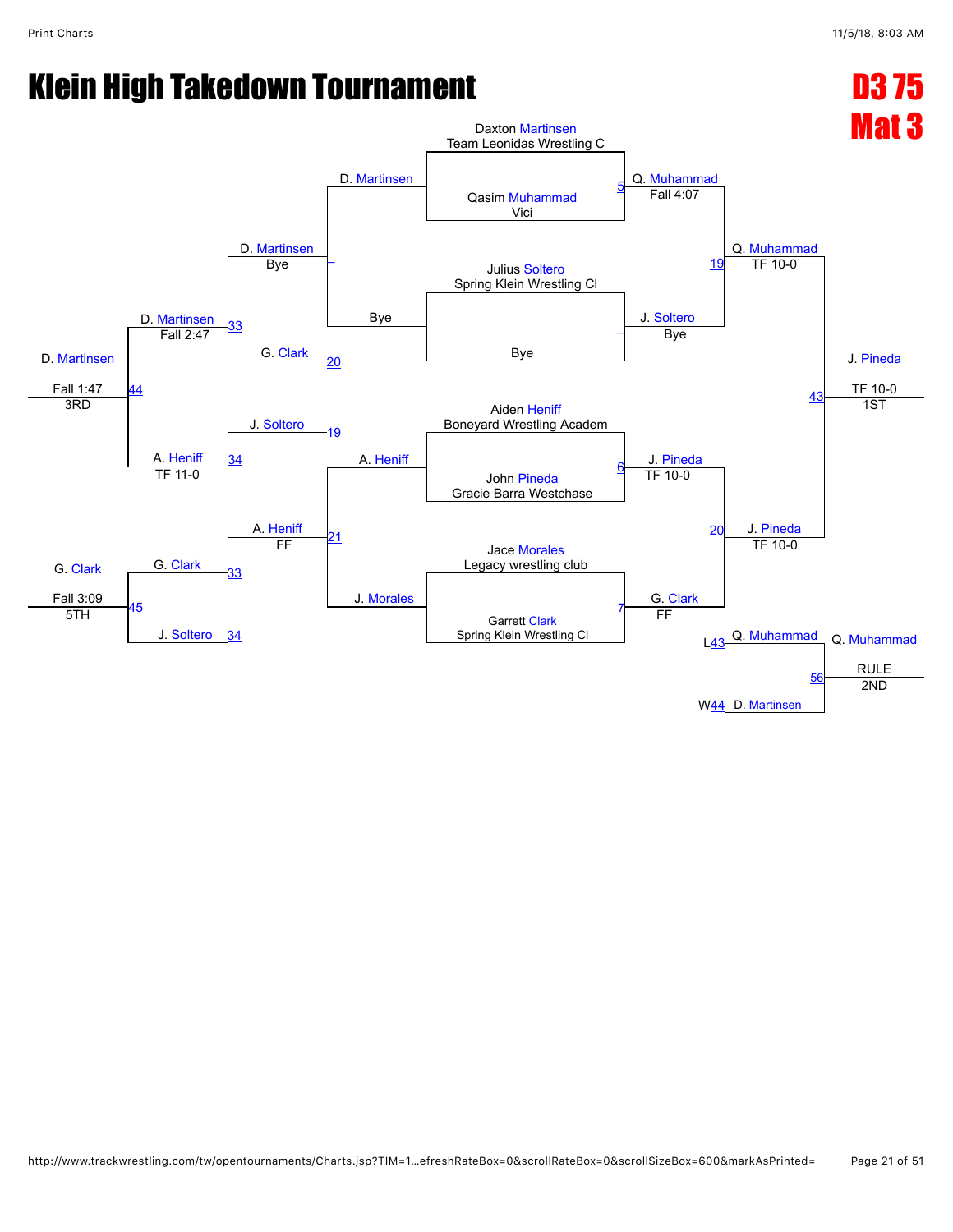![](_page_20_Figure_3.jpeg)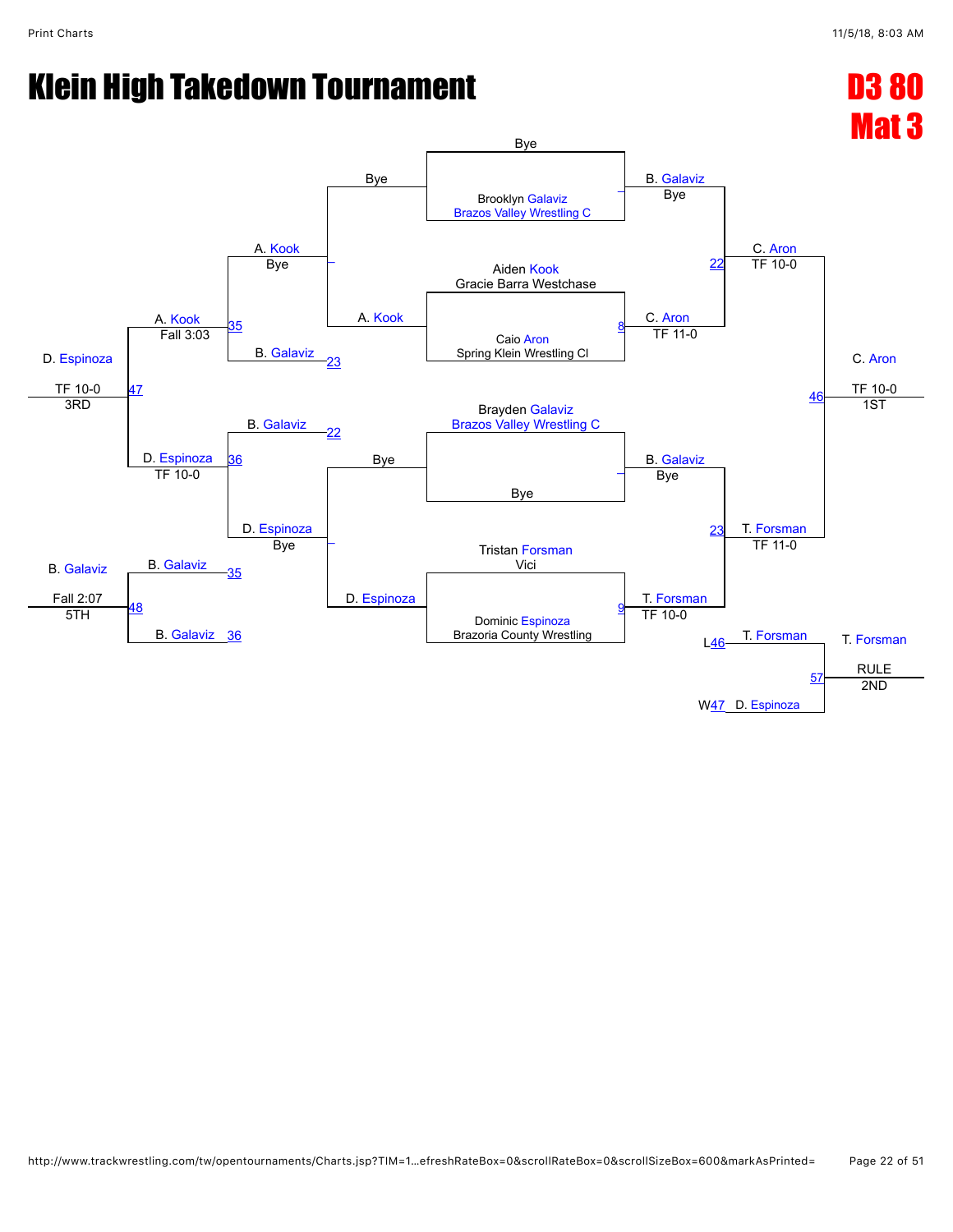![](_page_21_Figure_3.jpeg)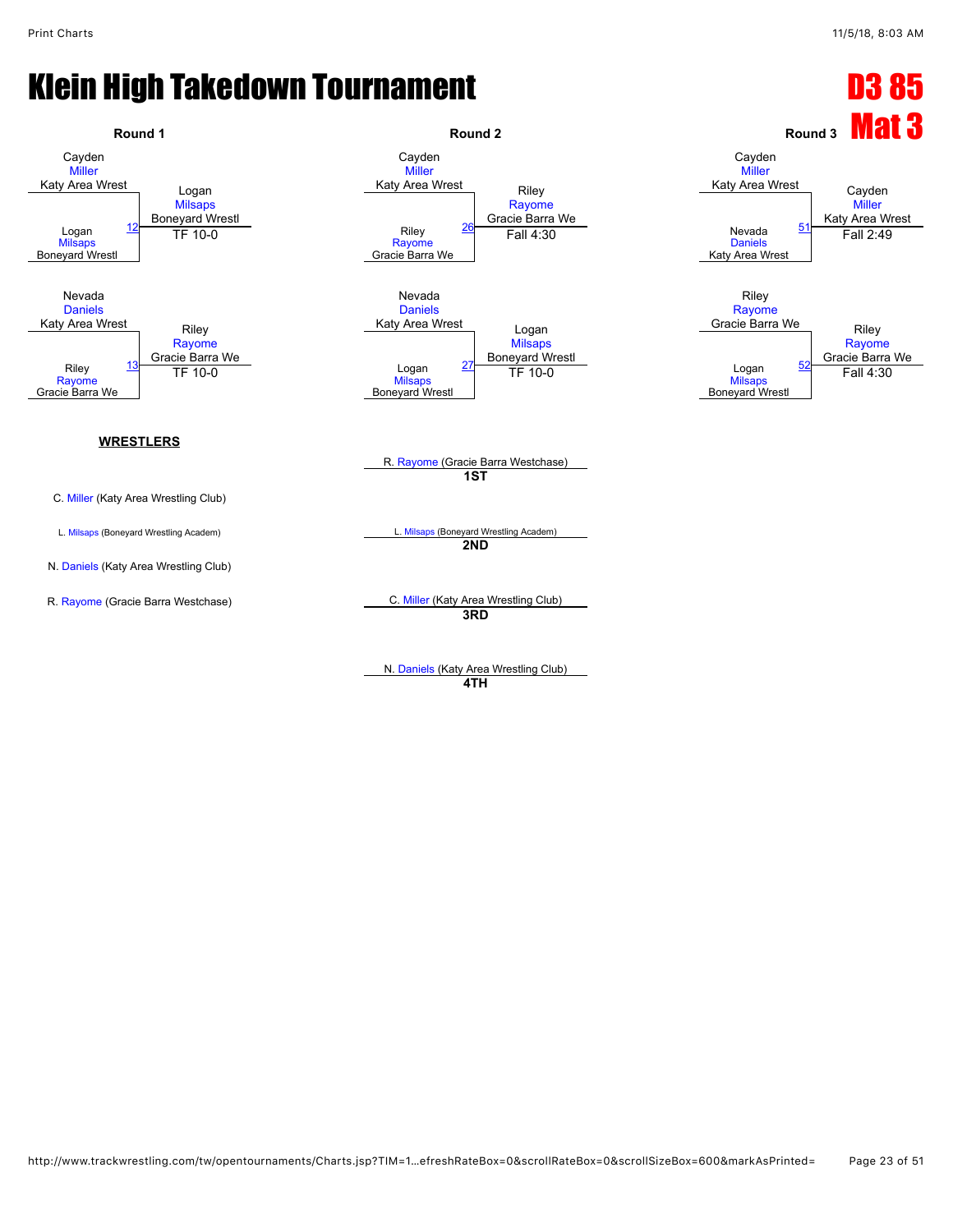![](_page_22_Figure_3.jpeg)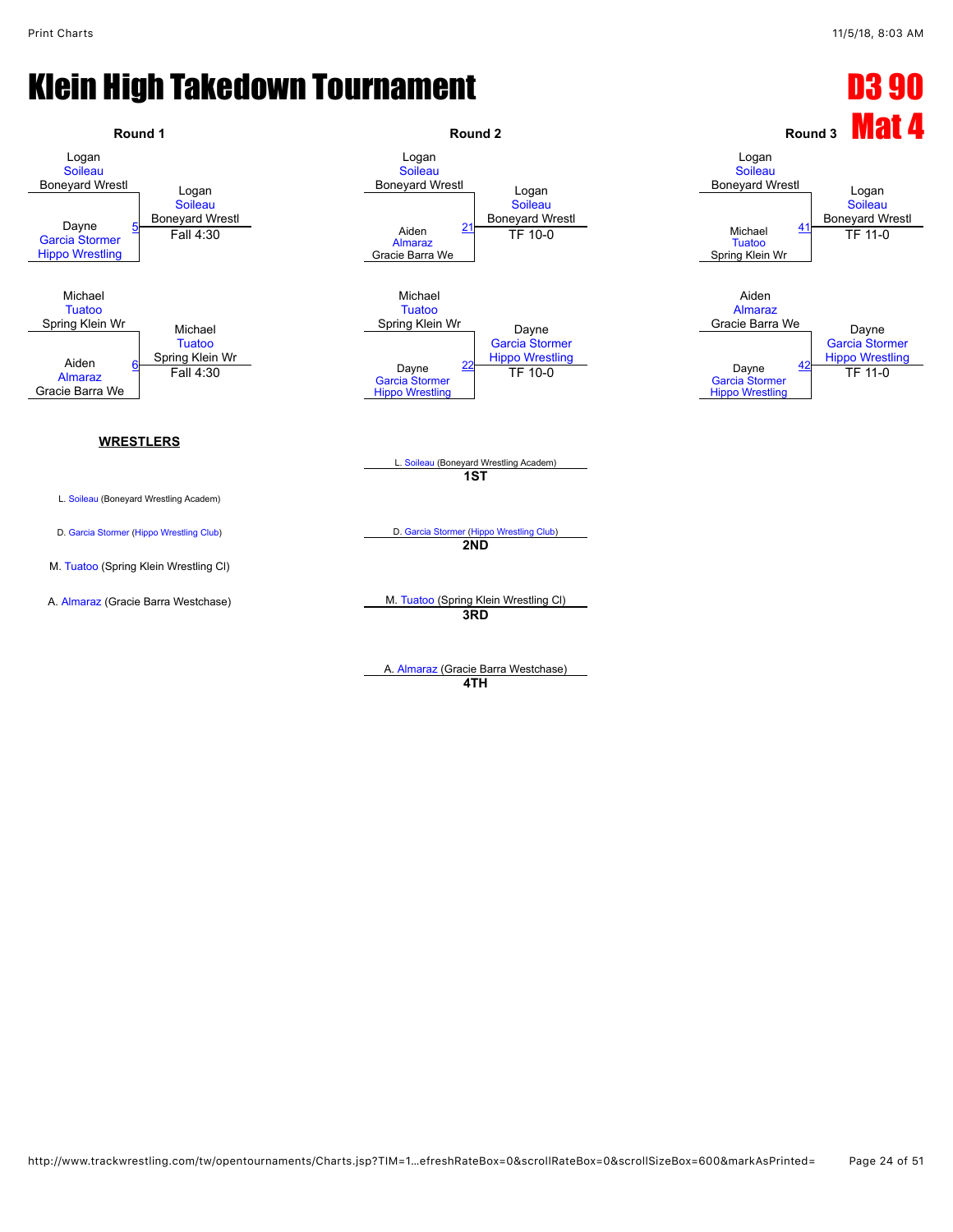![](_page_23_Figure_3.jpeg)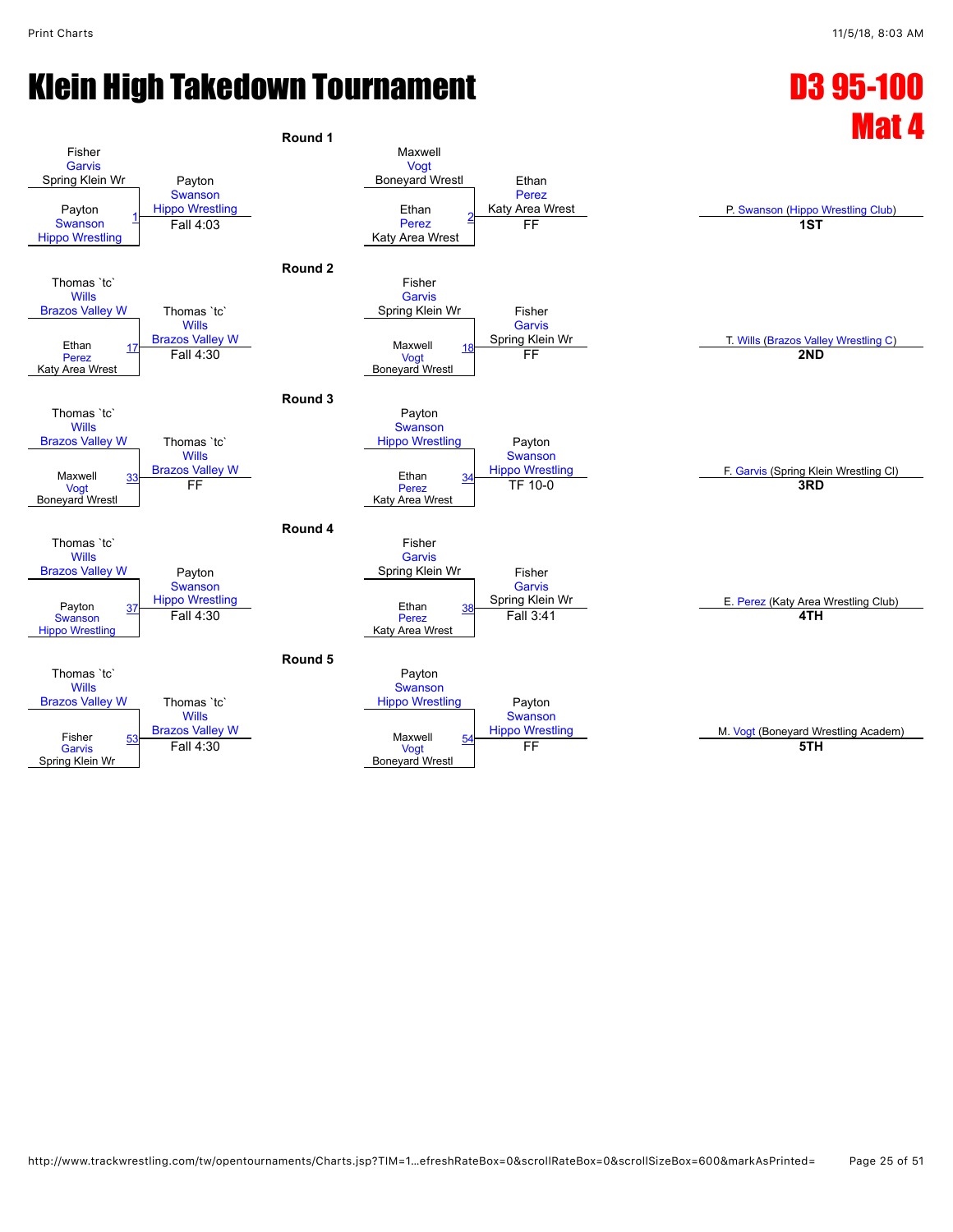![](_page_24_Figure_3.jpeg)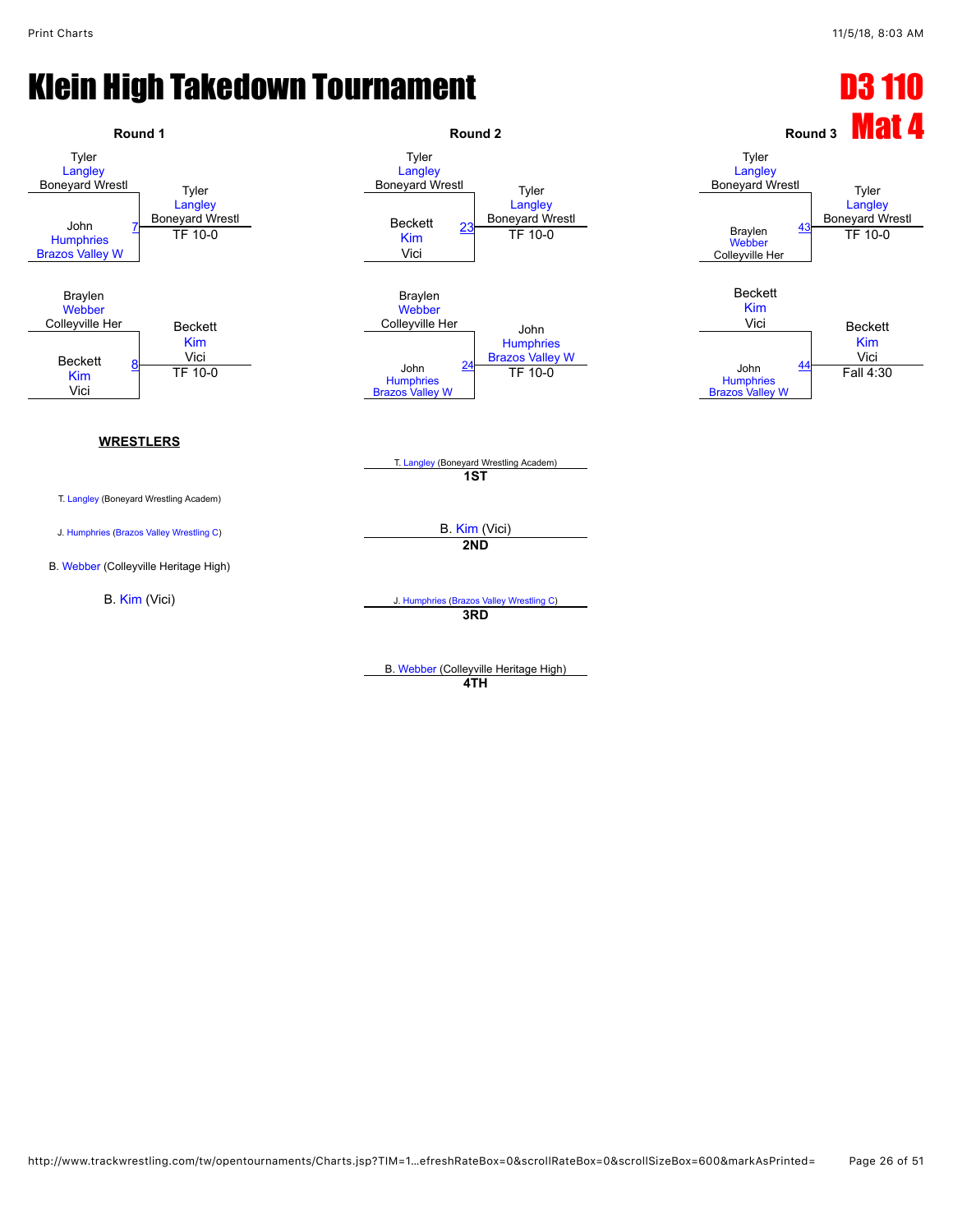![](_page_25_Figure_3.jpeg)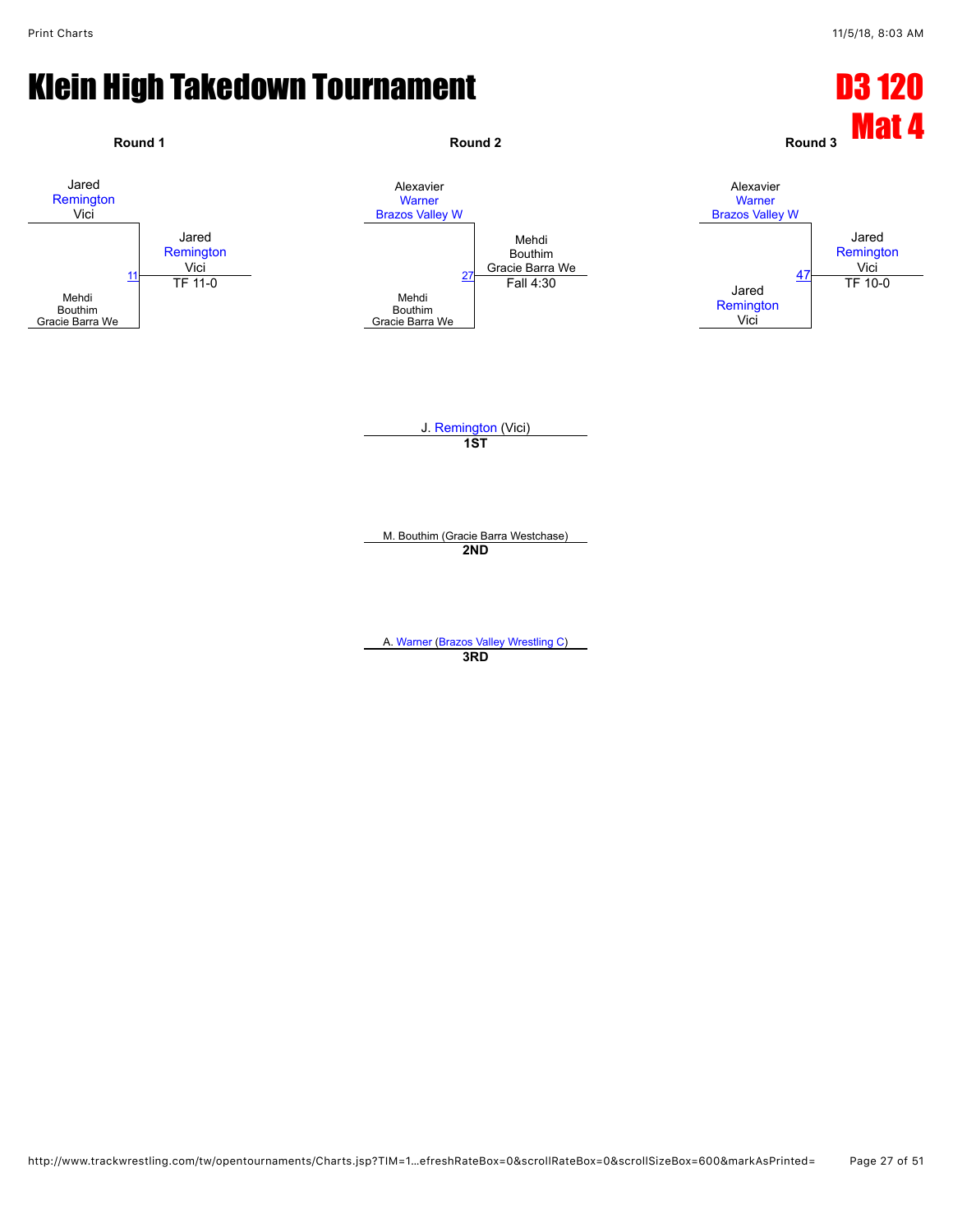![](_page_26_Figure_3.jpeg)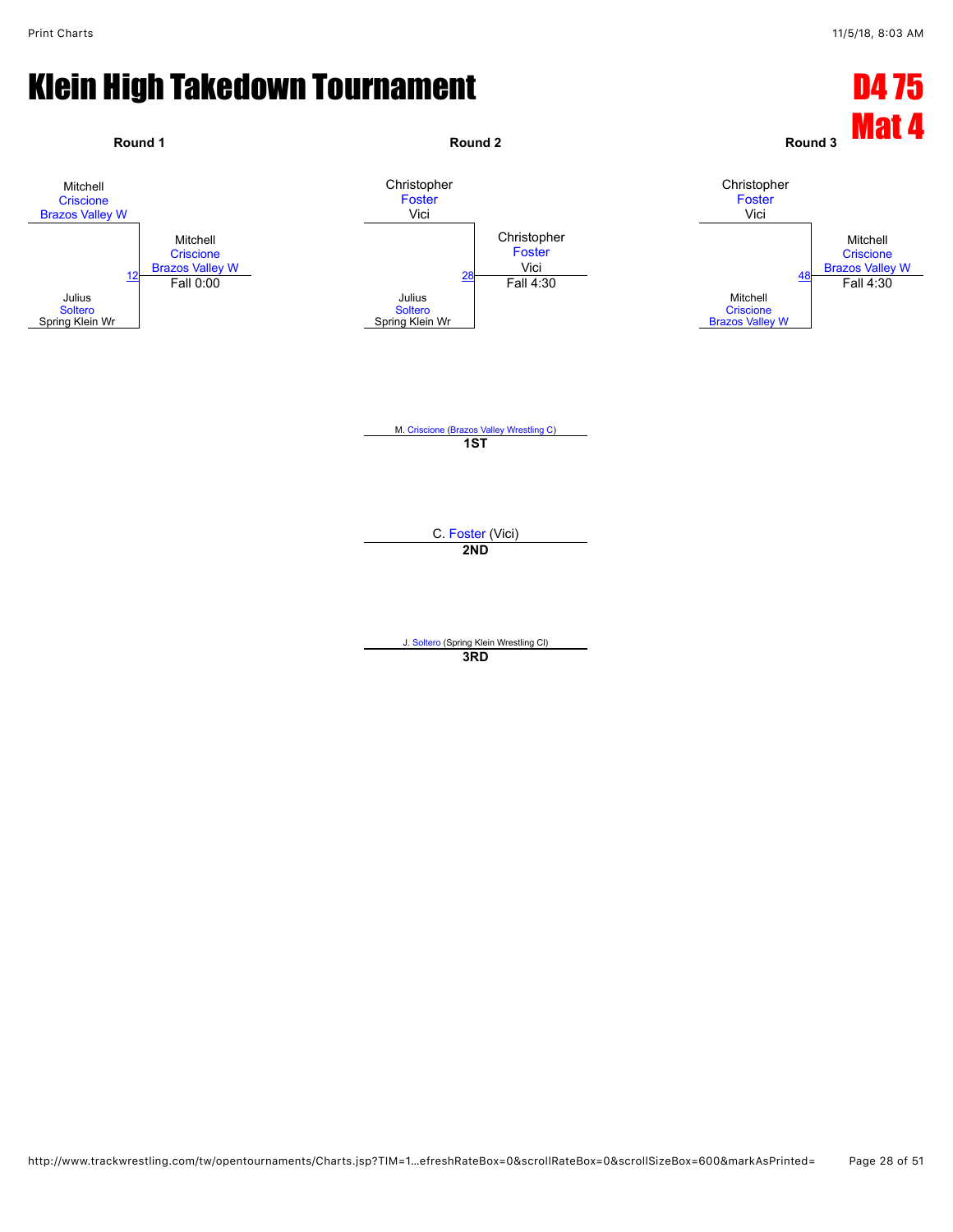![](_page_27_Figure_3.jpeg)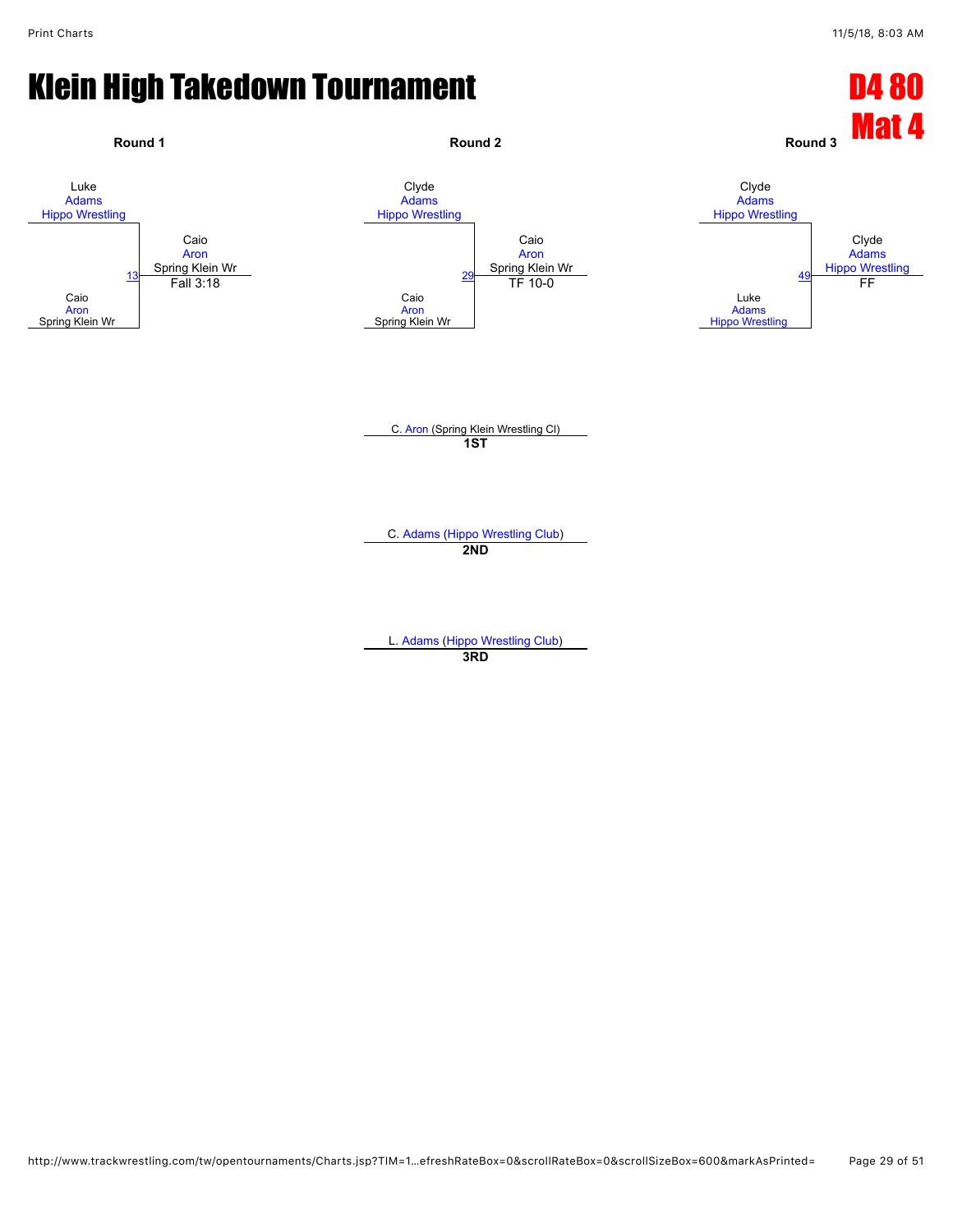![](_page_28_Figure_3.jpeg)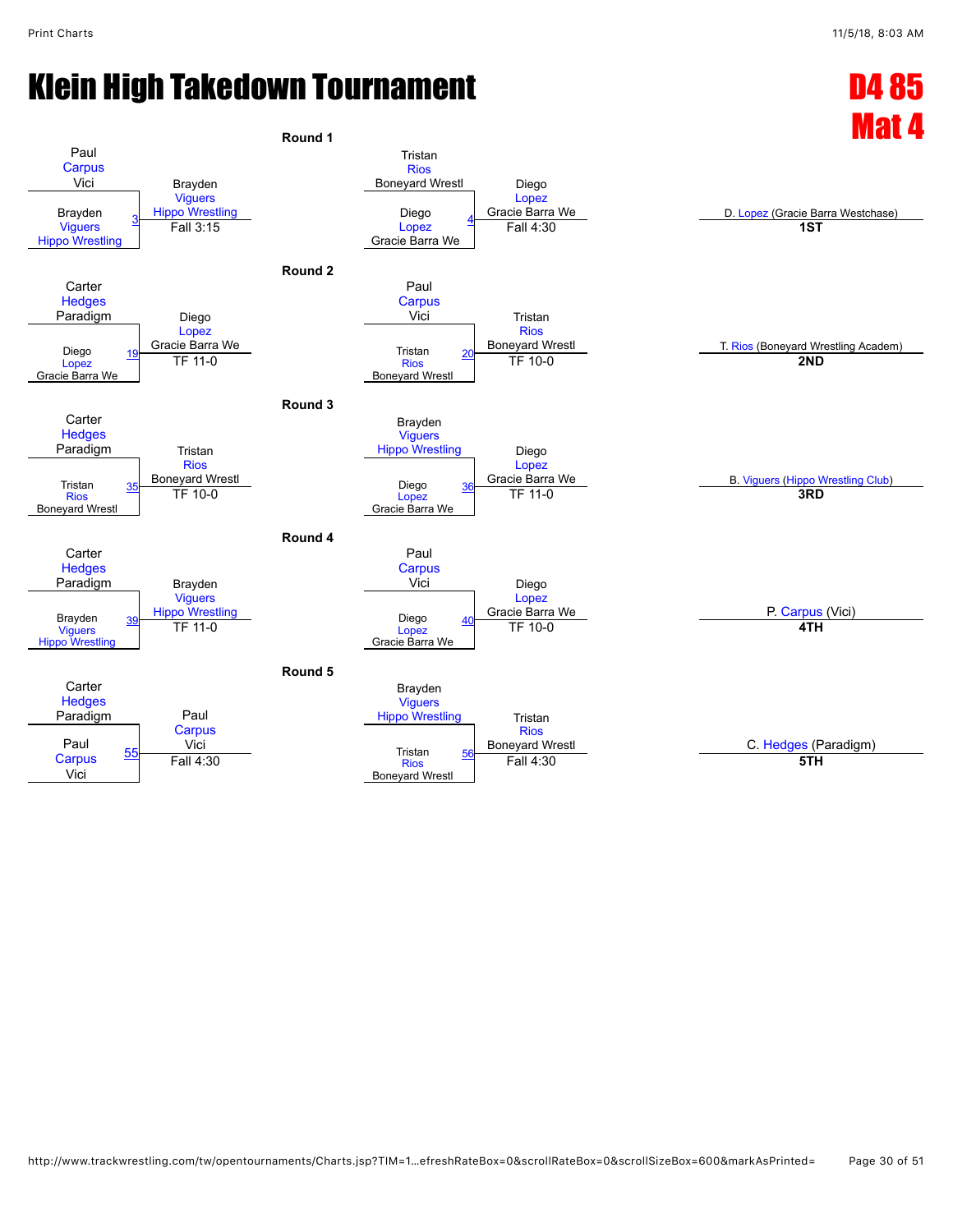![](_page_29_Figure_3.jpeg)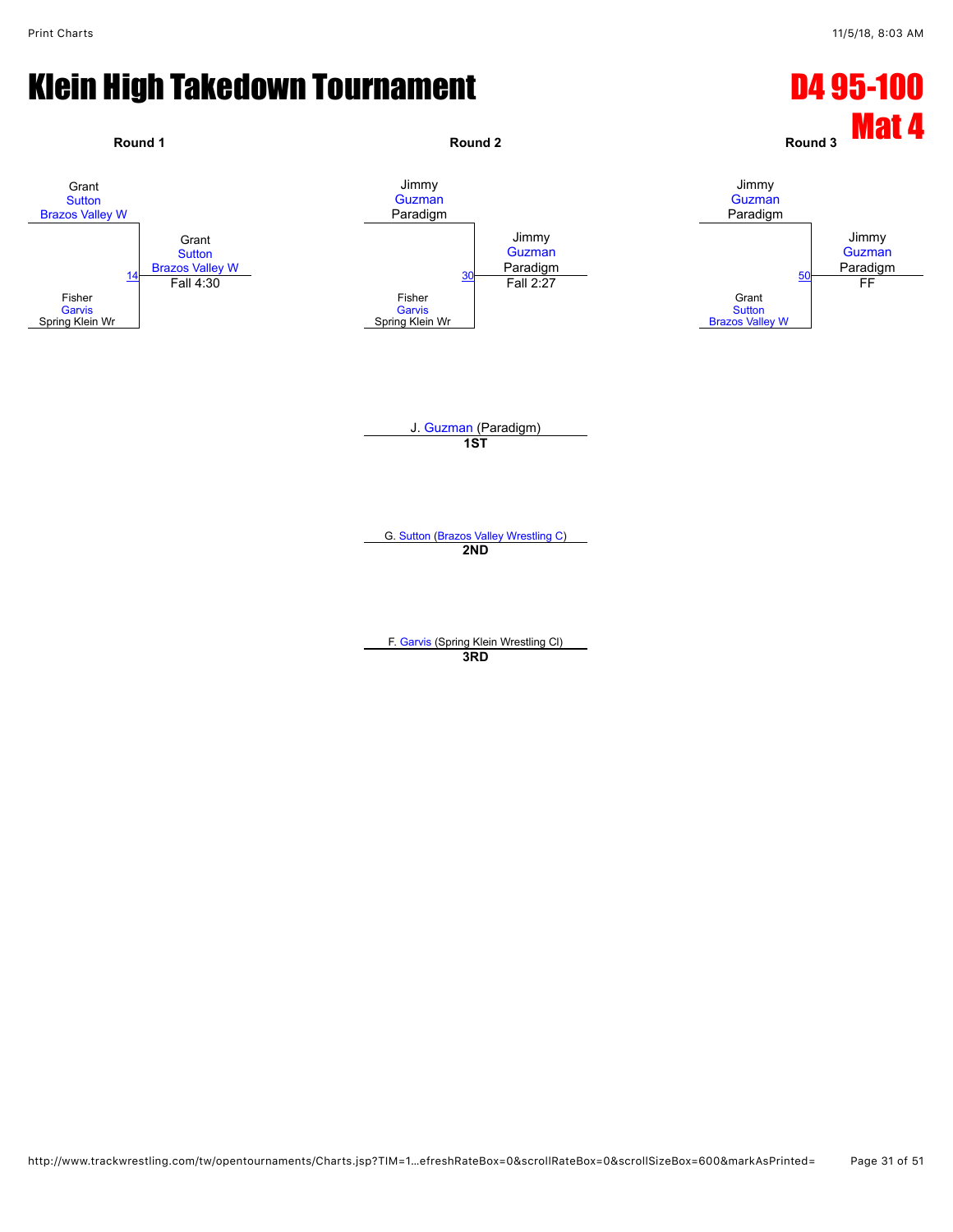![](_page_30_Figure_3.jpeg)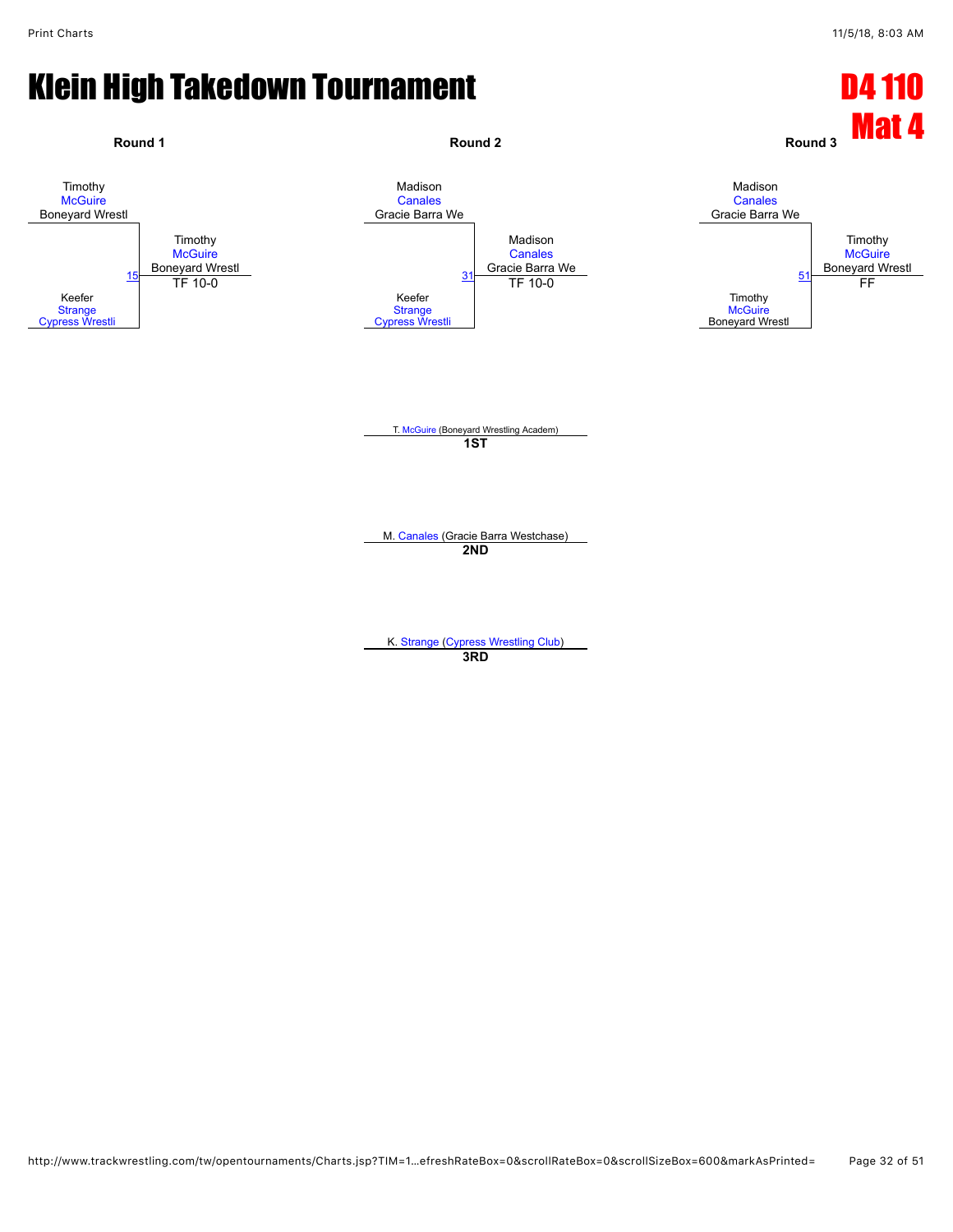![](_page_31_Figure_3.jpeg)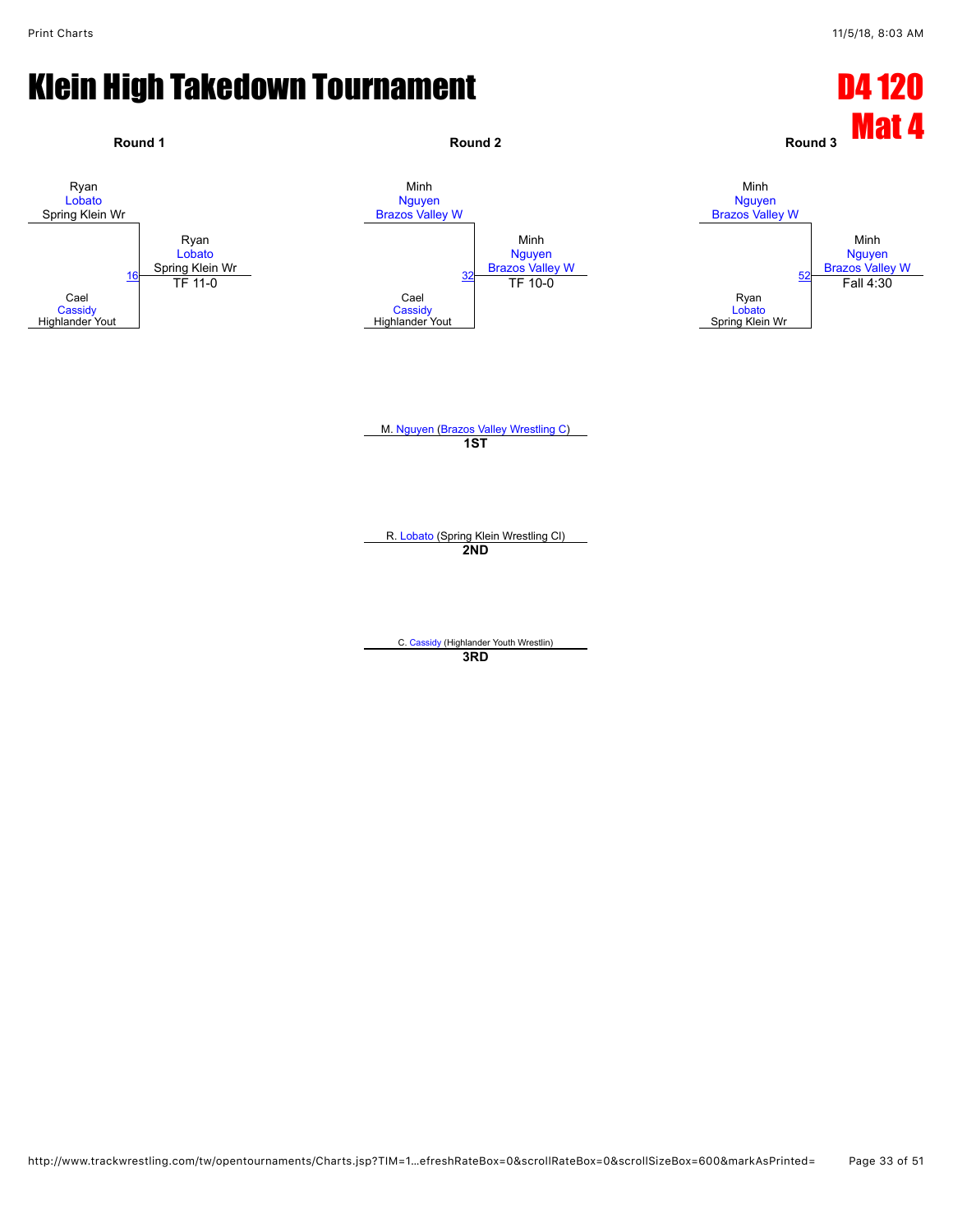![](_page_32_Figure_3.jpeg)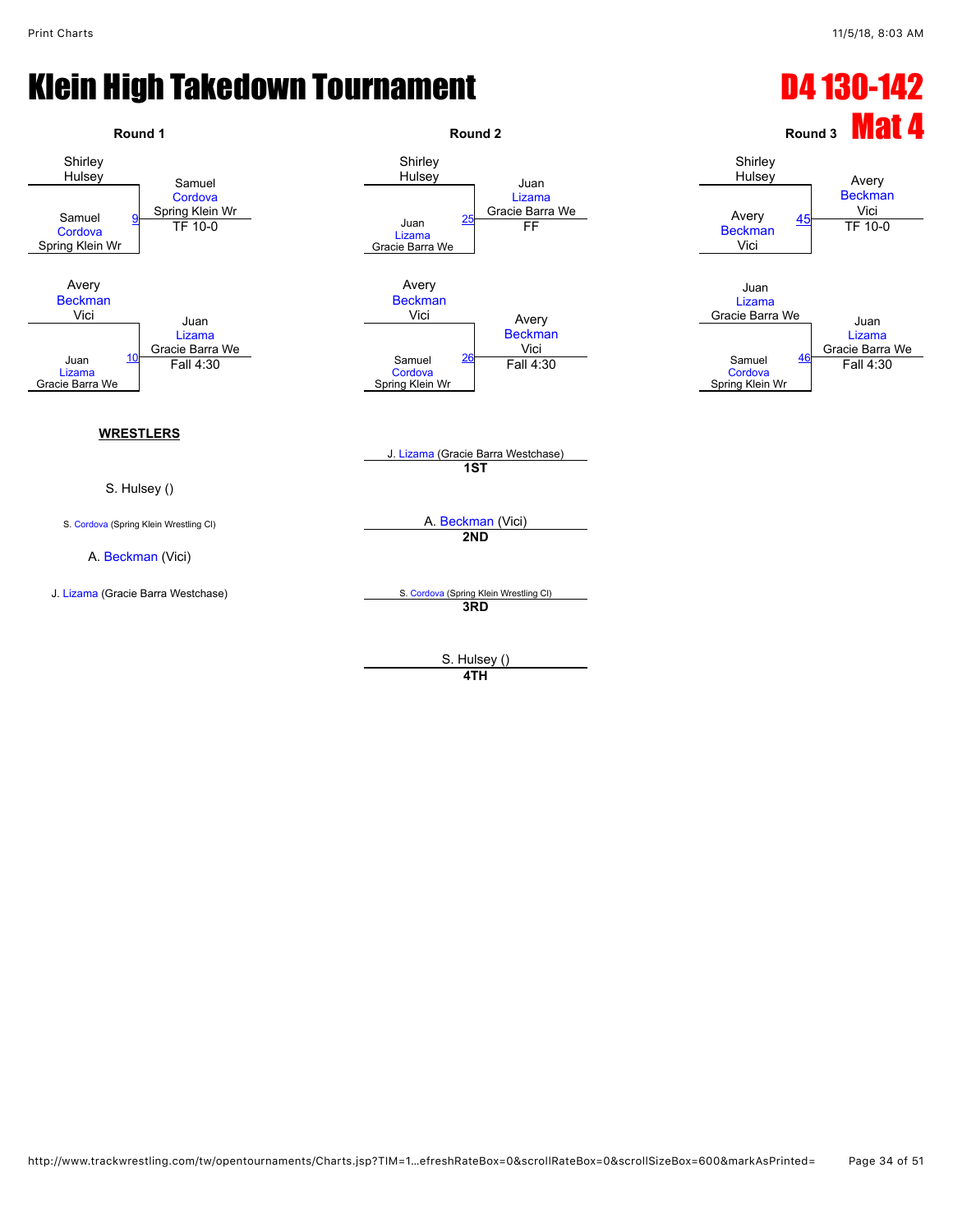![](_page_33_Figure_3.jpeg)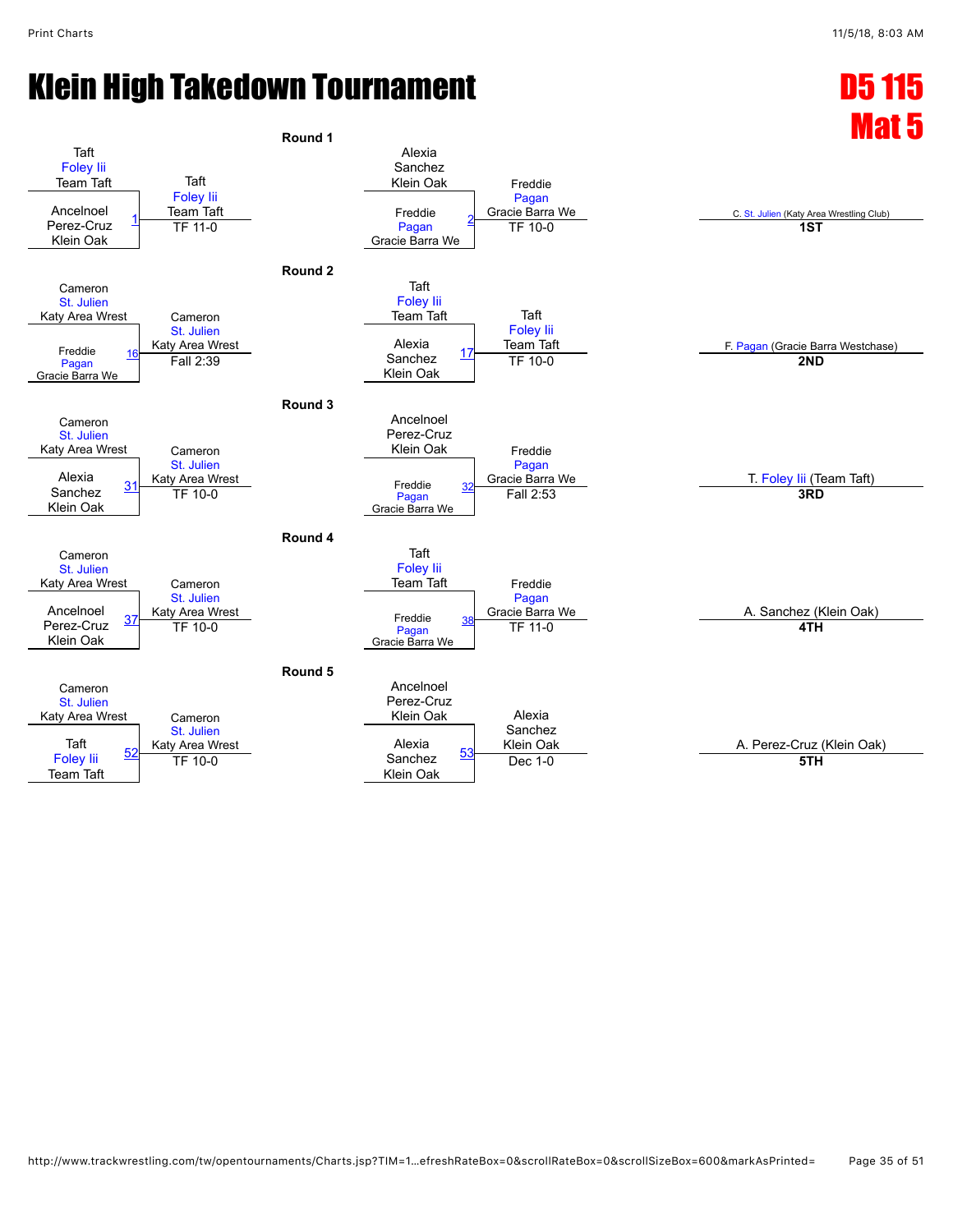![](_page_34_Figure_3.jpeg)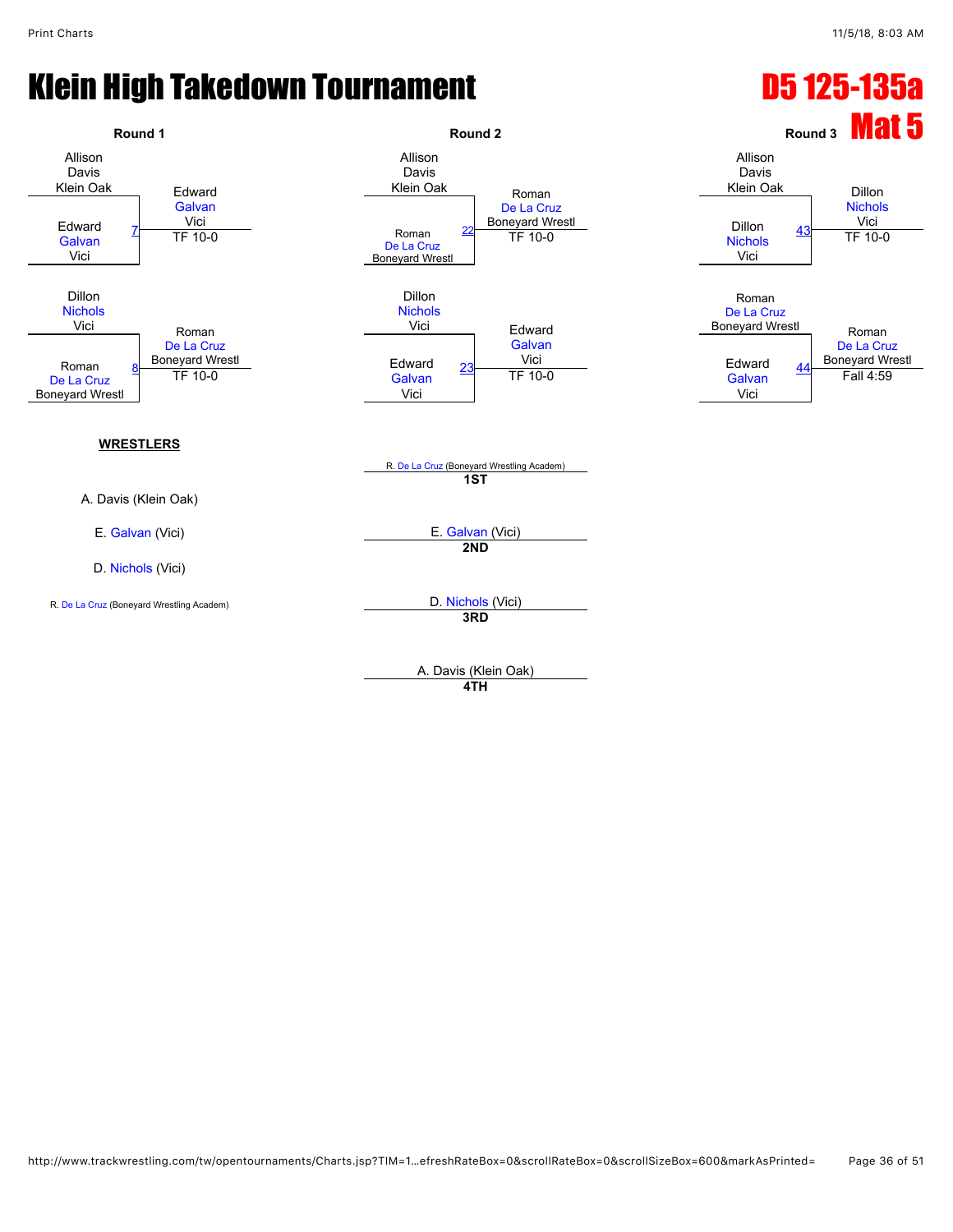#### Klein High Takedown Tournament **D5 125-135a**

![](_page_35_Figure_3.jpeg)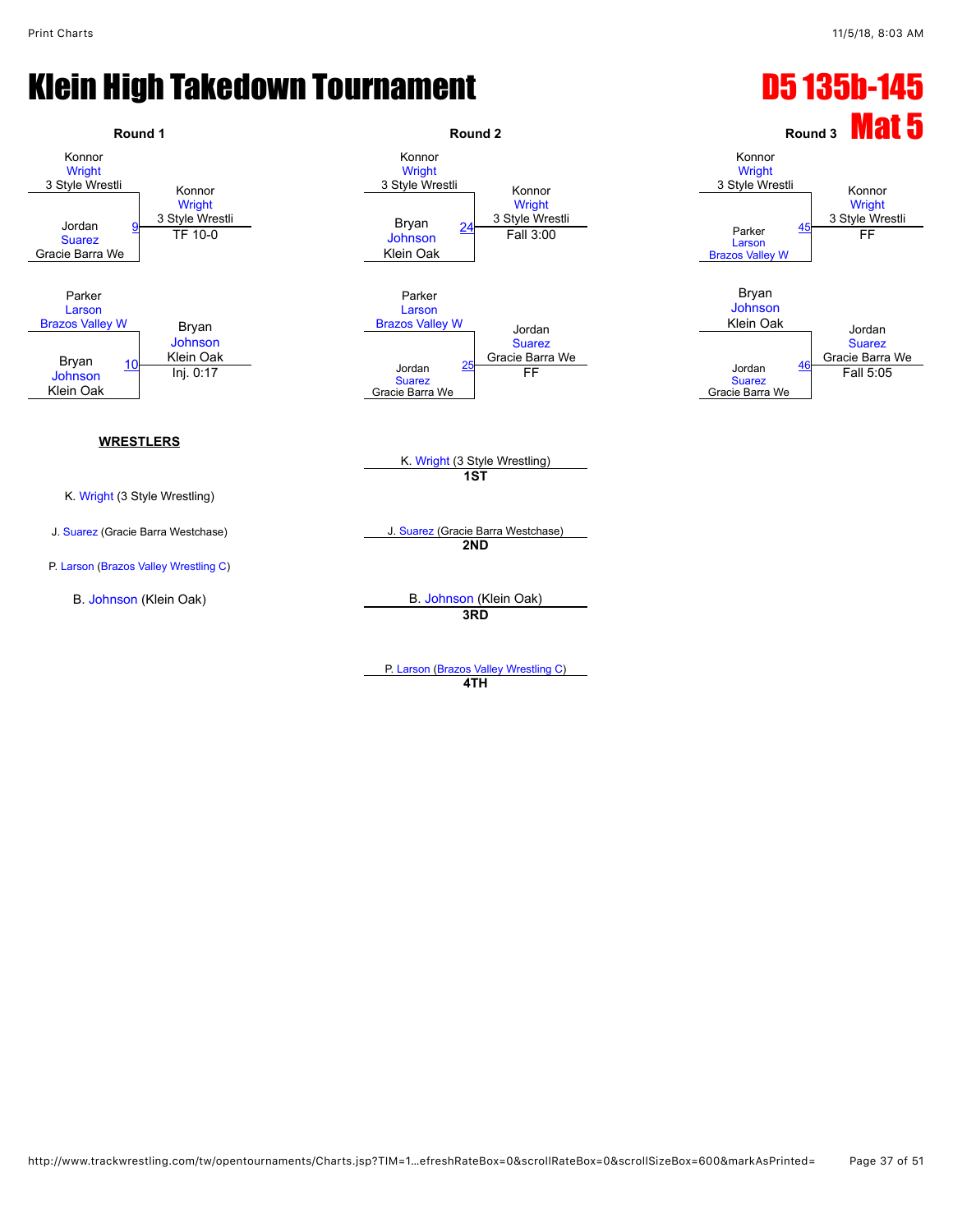![](_page_36_Figure_3.jpeg)

**4TH**

http://www.trackwrestling.com/tw/opentournaments/Charts.jsp?TIM=1…efreshRateBox=0&scrollRateBox=0&scrollSizeBox=600&markAsPrinted= Page 37 of 51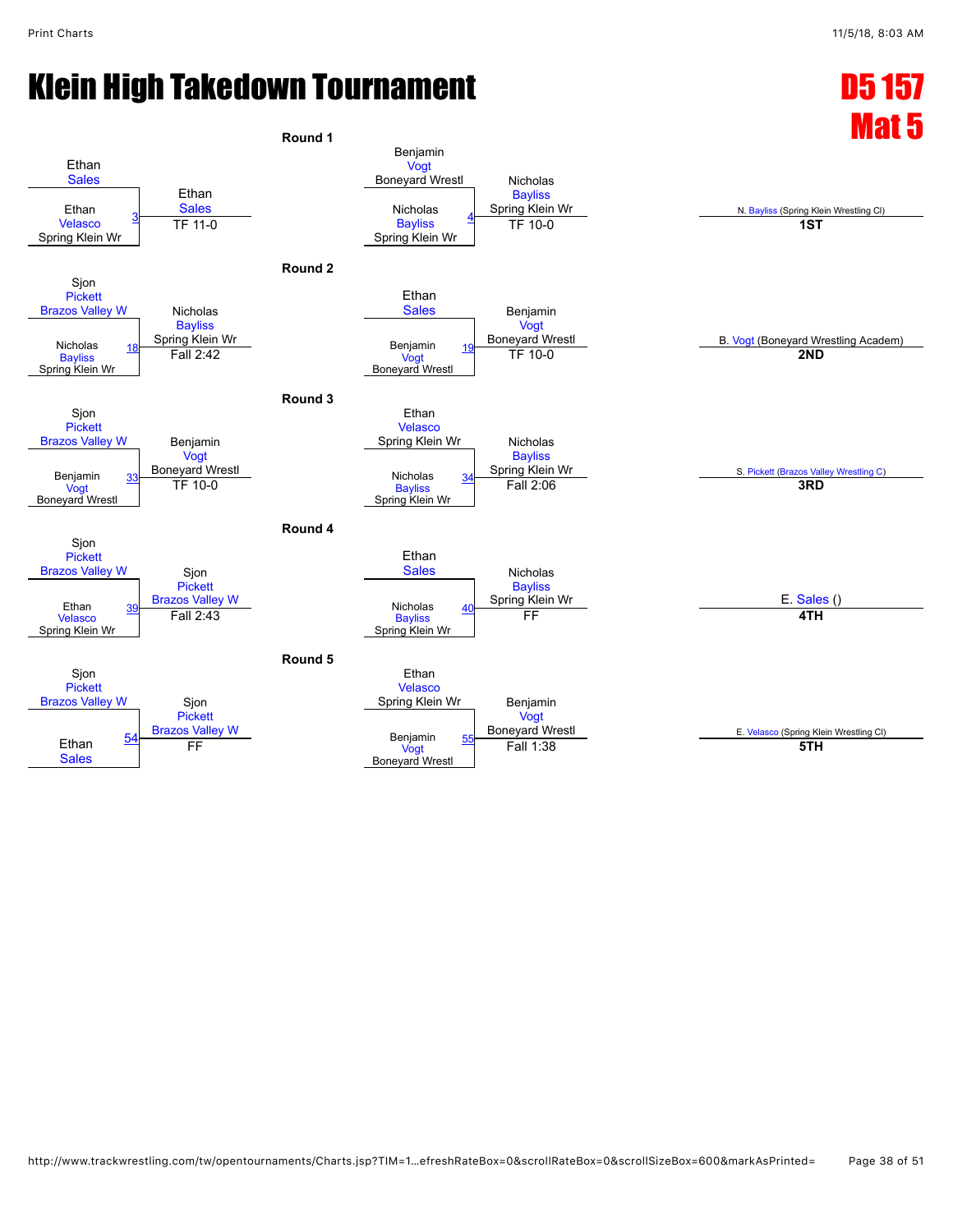![](_page_37_Figure_3.jpeg)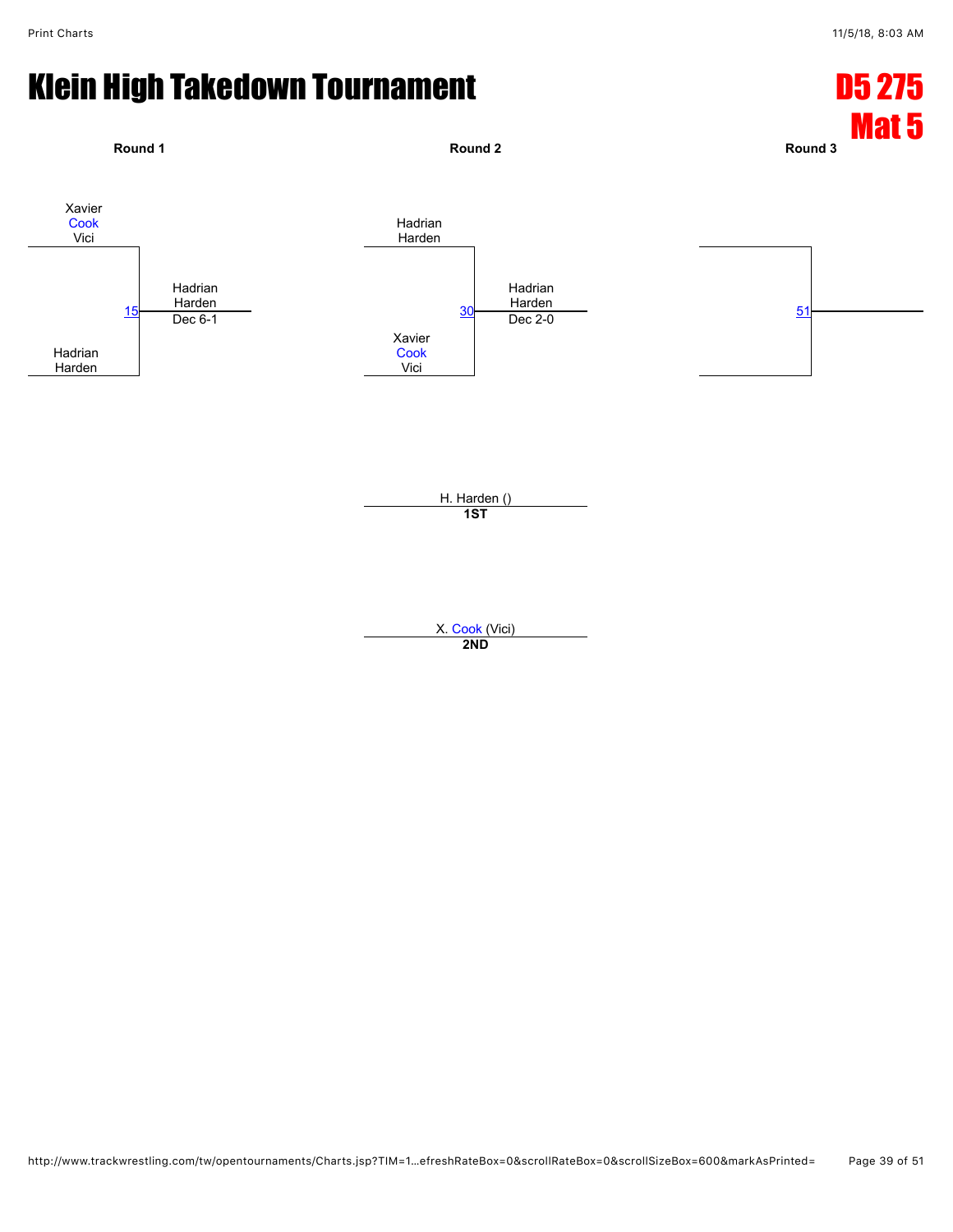![](_page_38_Figure_3.jpeg)

**2ND**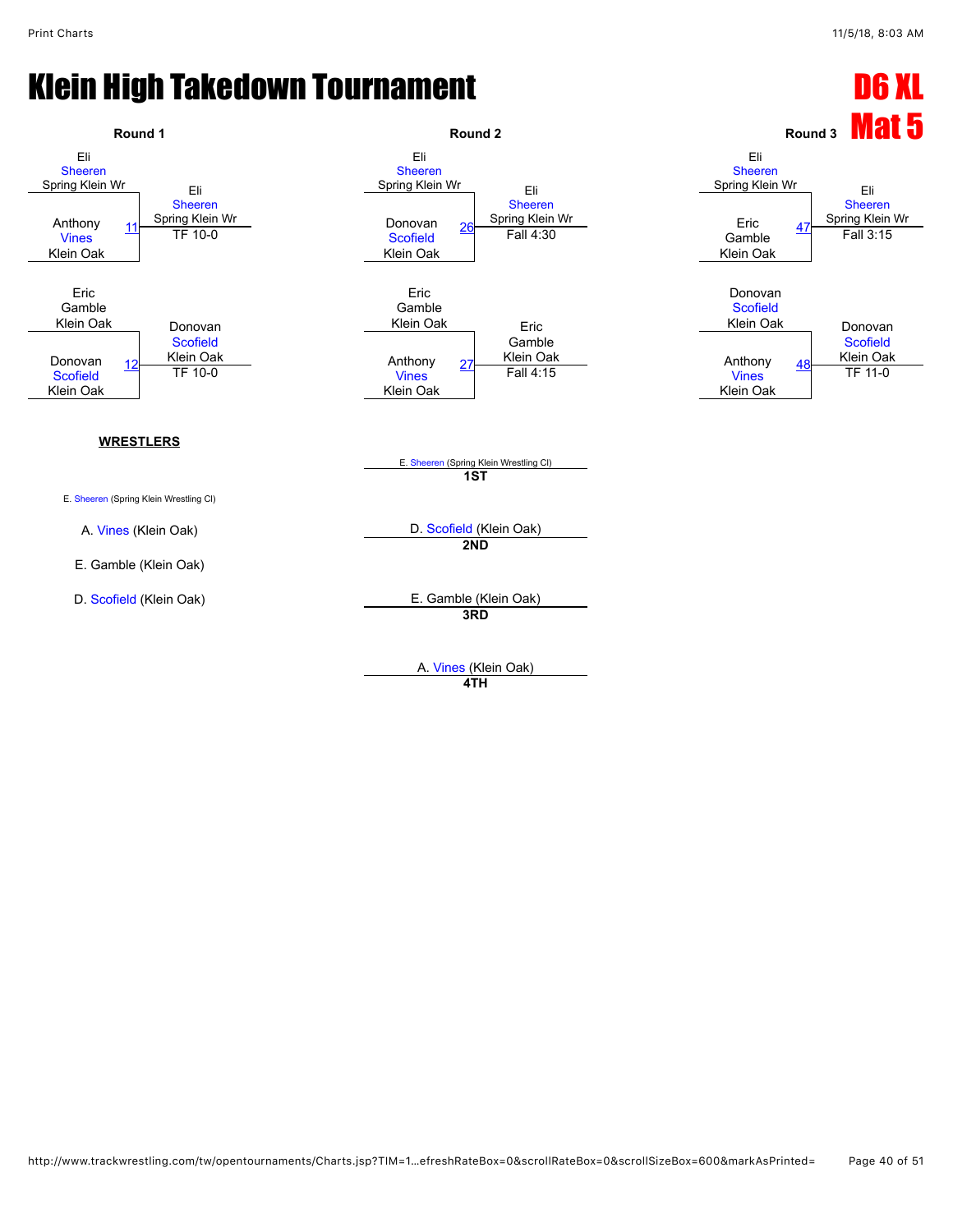![](_page_39_Figure_3.jpeg)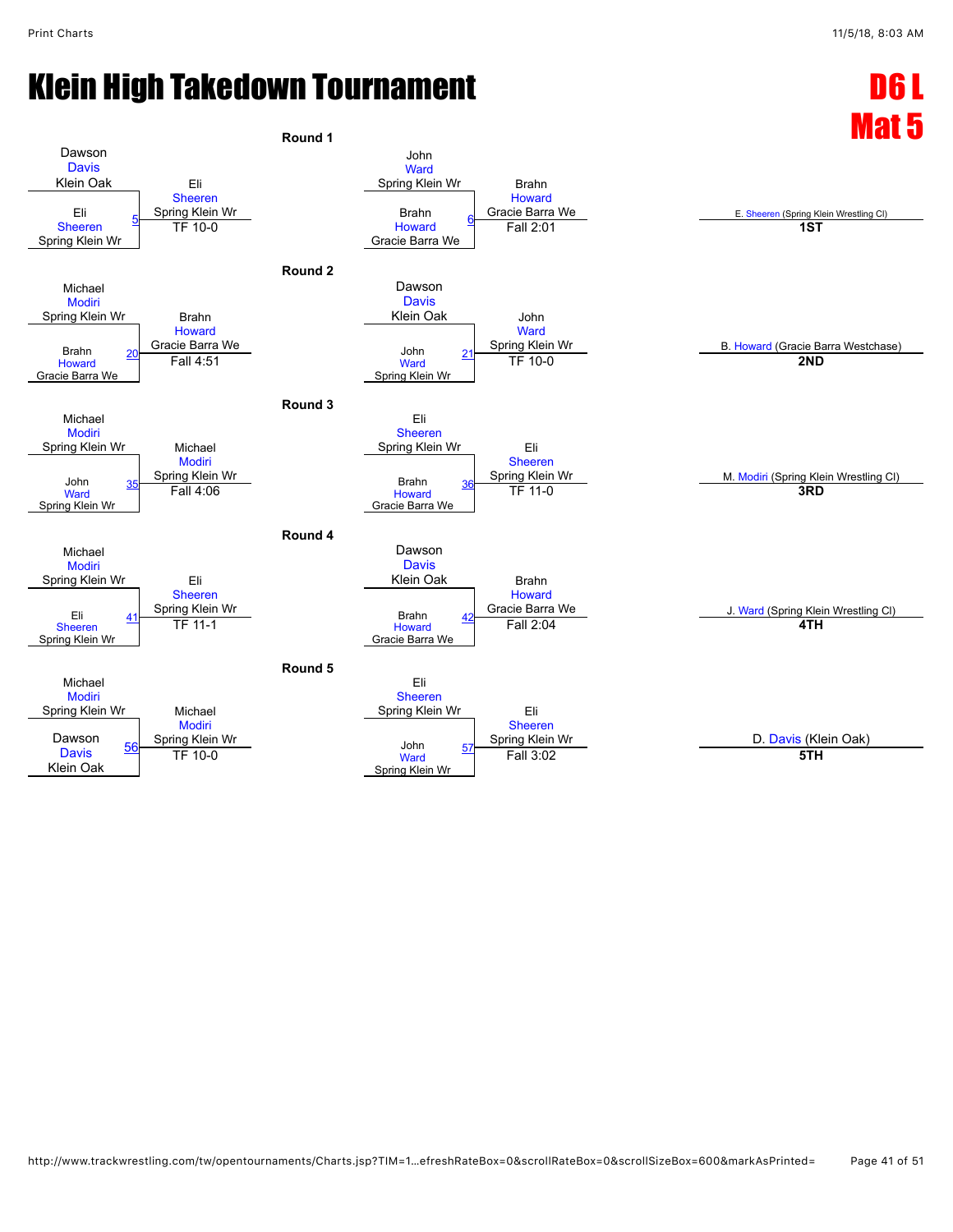## Klein High Takedown Tournament National Control of Least 2008.

![](_page_40_Figure_3.jpeg)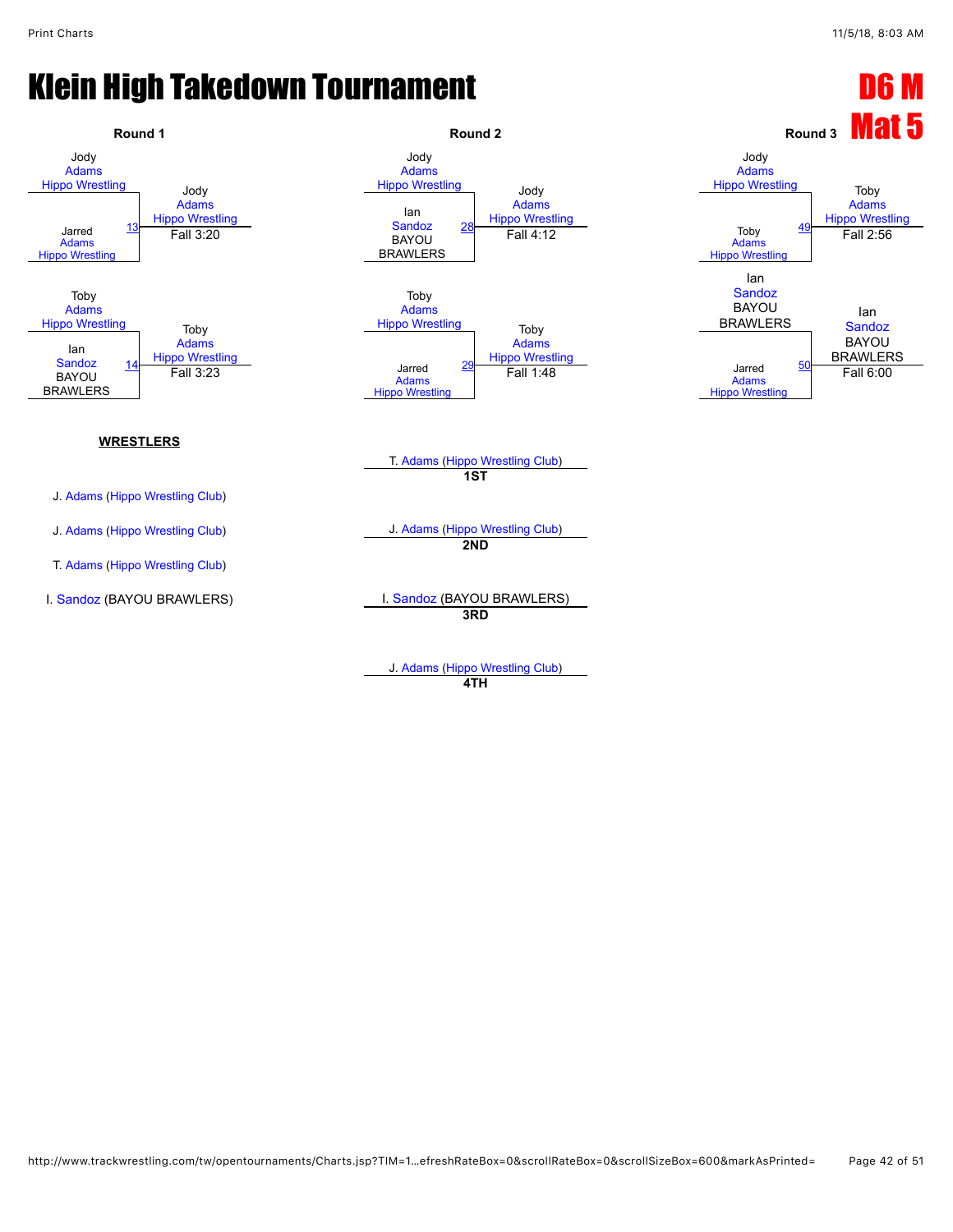![](_page_41_Figure_3.jpeg)

J. [Adams](javascript:viewProfile(630185096)) ([Hippo Wrestling Club\)](javascript:viewClub(257903009)) **4TH**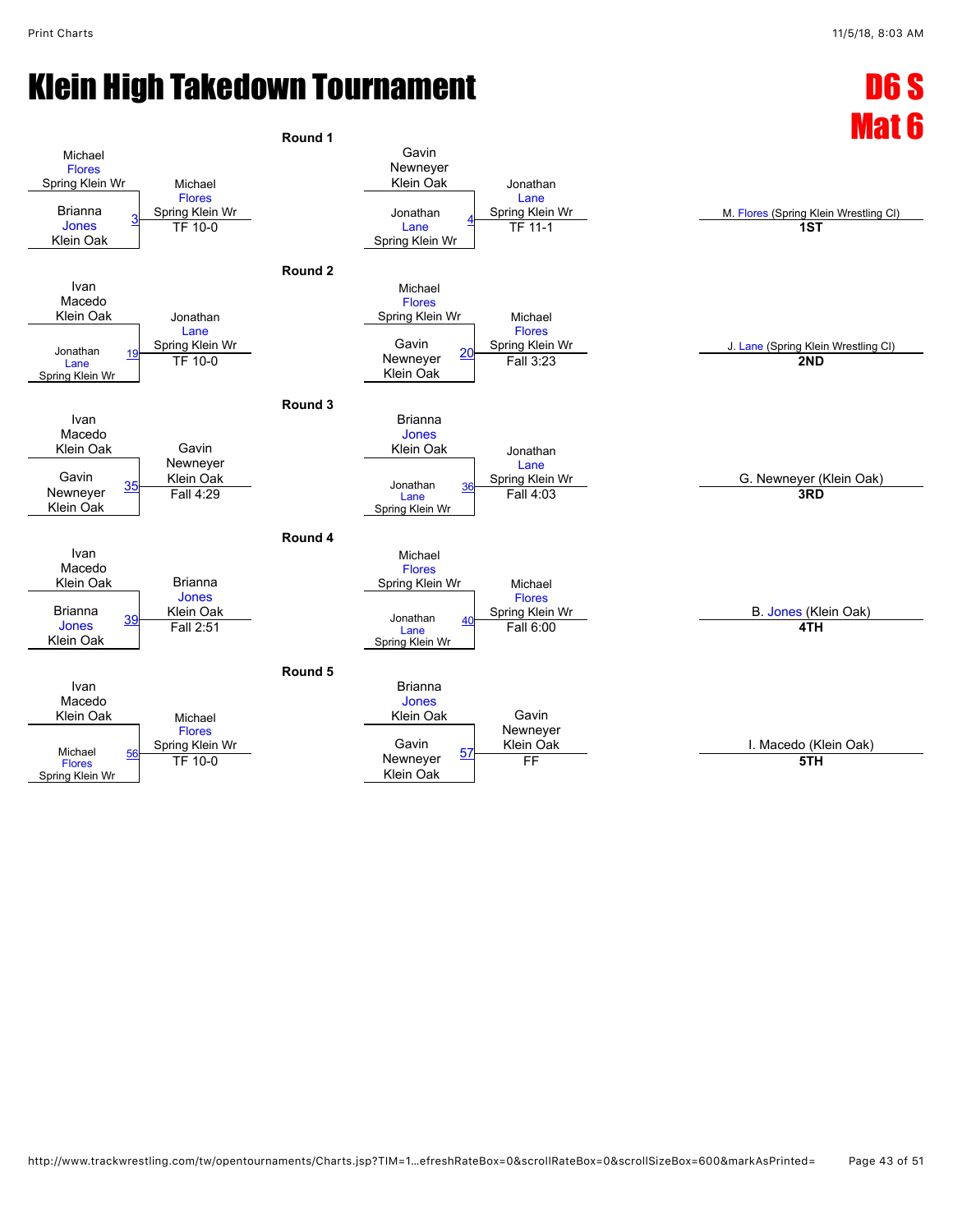![](_page_42_Figure_3.jpeg)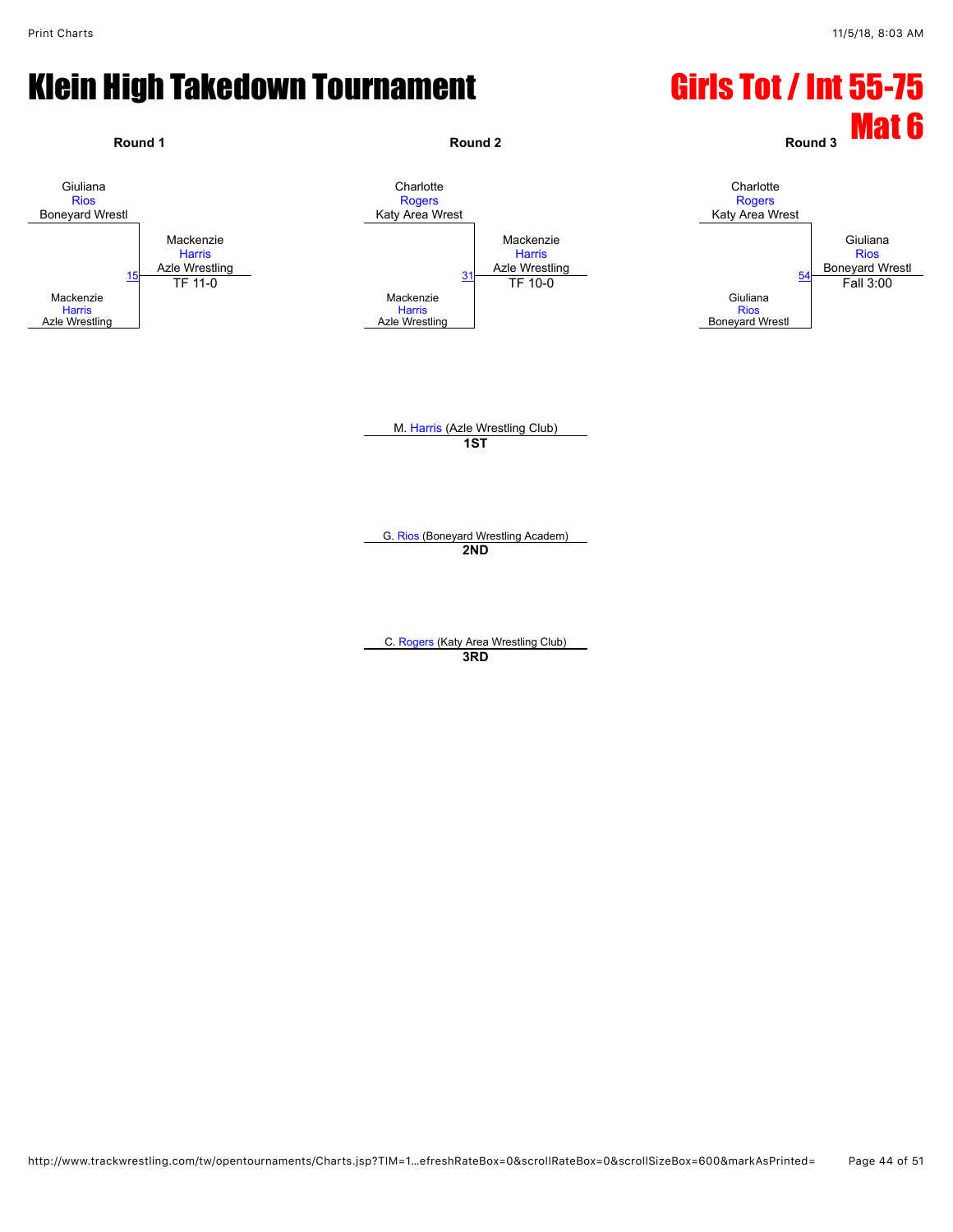#### Klein High Takedown Tournament Girls Tot / Int 55-75

![](_page_43_Figure_3.jpeg)

C. [Rogers](javascript:viewProfile(1162294096)) (Katy Area Wrestling Club) **3RD**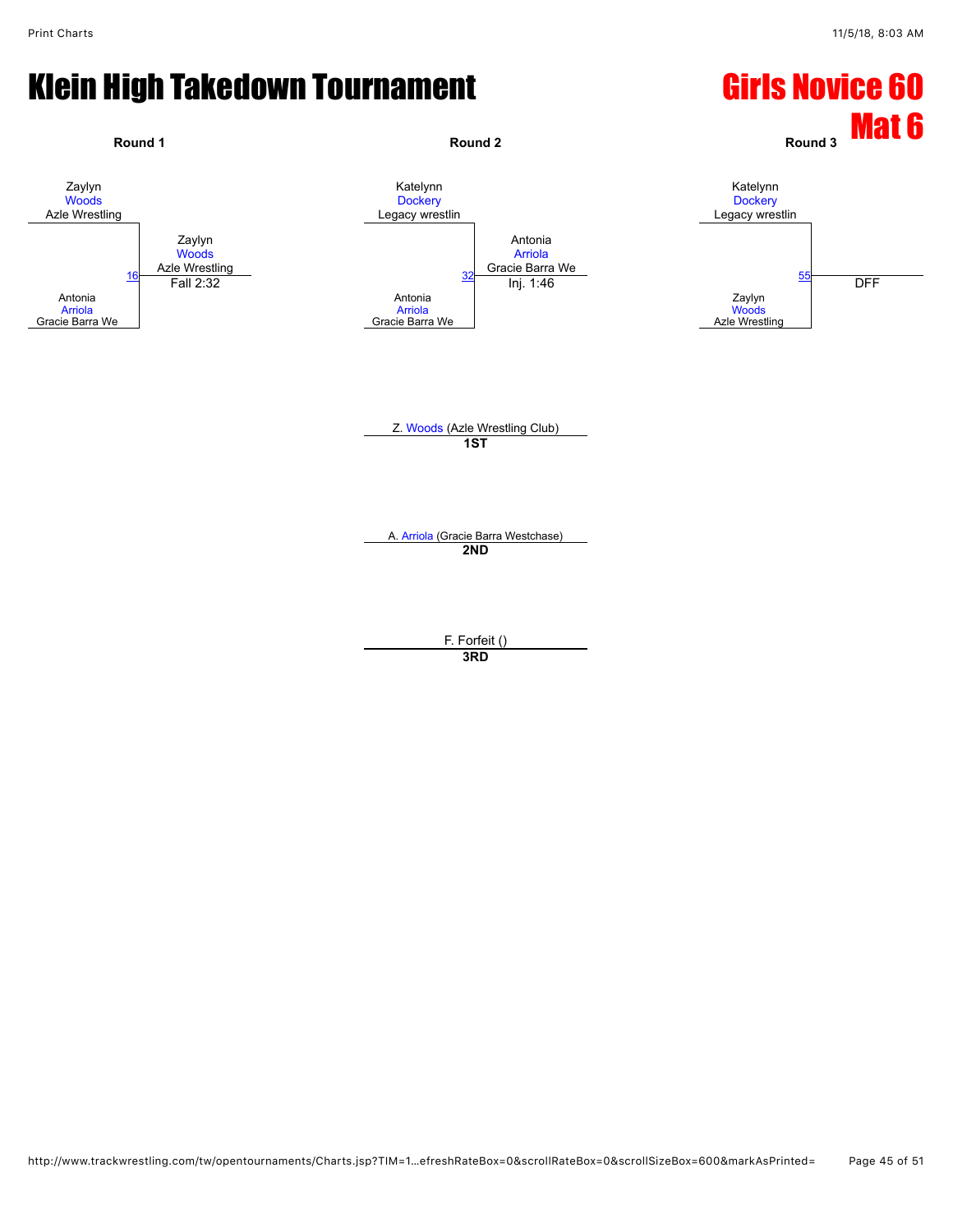### Klein High Takedown Tournament Girls Novice 60

![](_page_44_Figure_3.jpeg)

**3RD**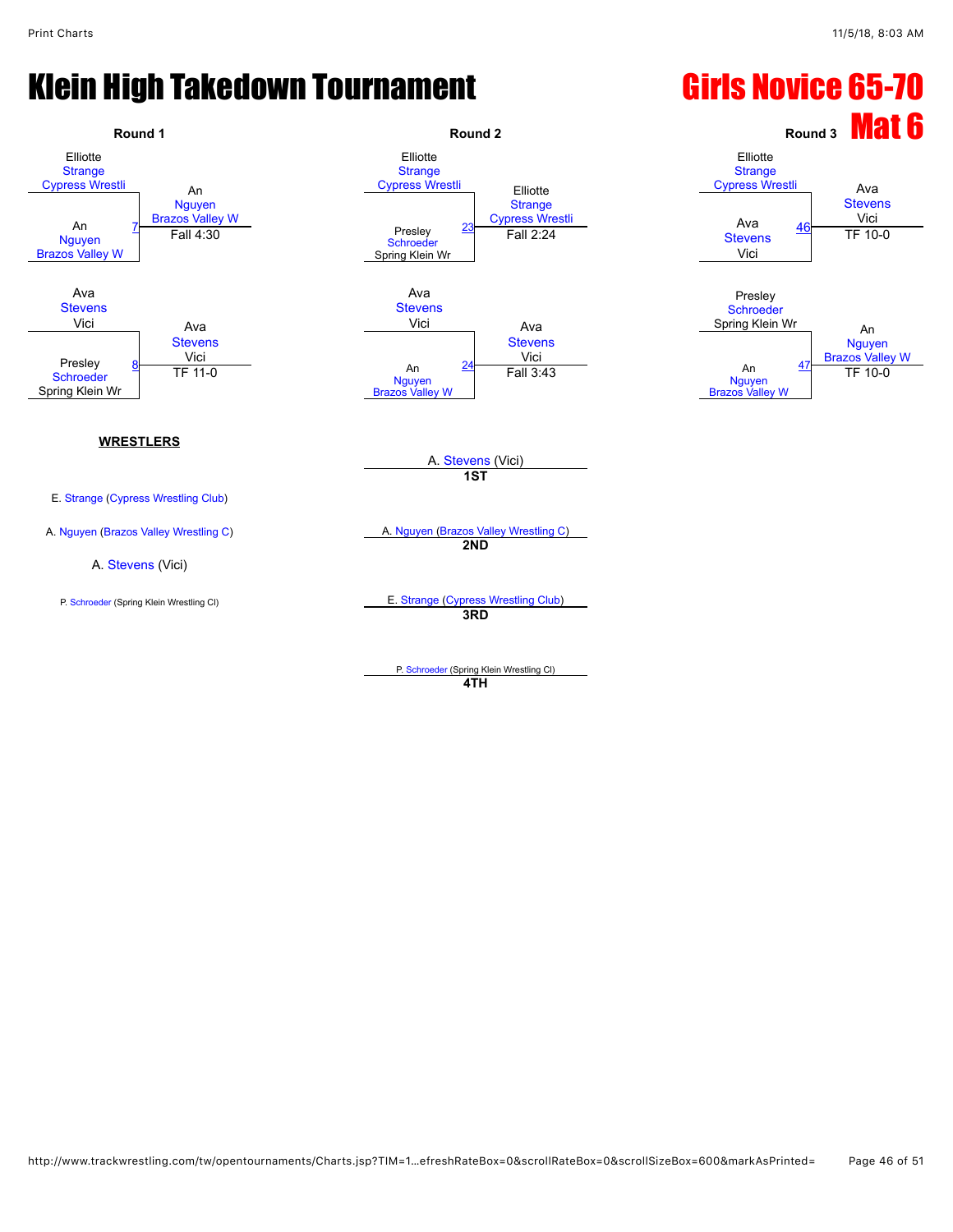### Klein High Takedown Tournament **Girls Novice 65-70**

![](_page_45_Figure_3.jpeg)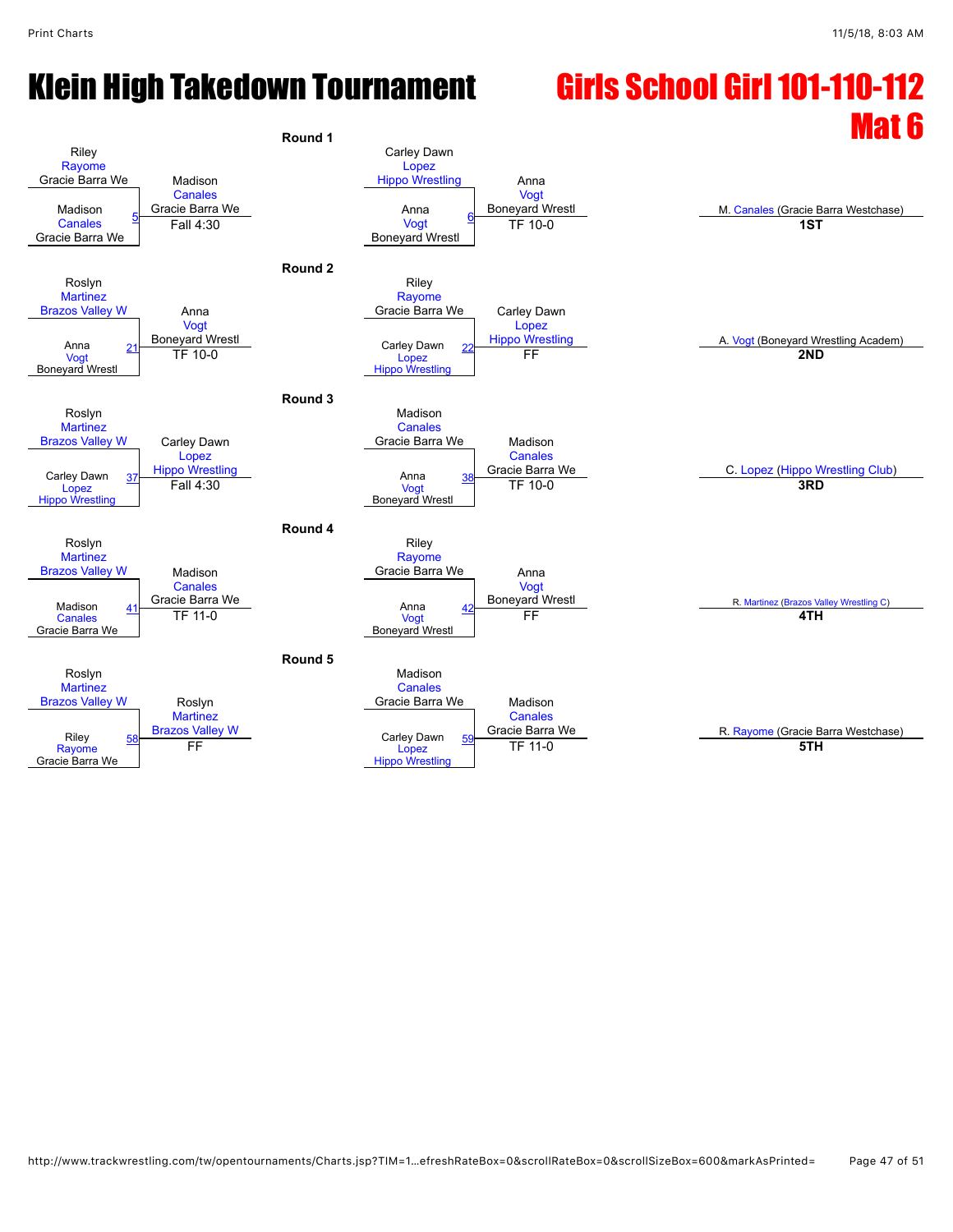# Klein High Takedown Tournament Girls School Girl 101-110-112

![](_page_46_Figure_3.jpeg)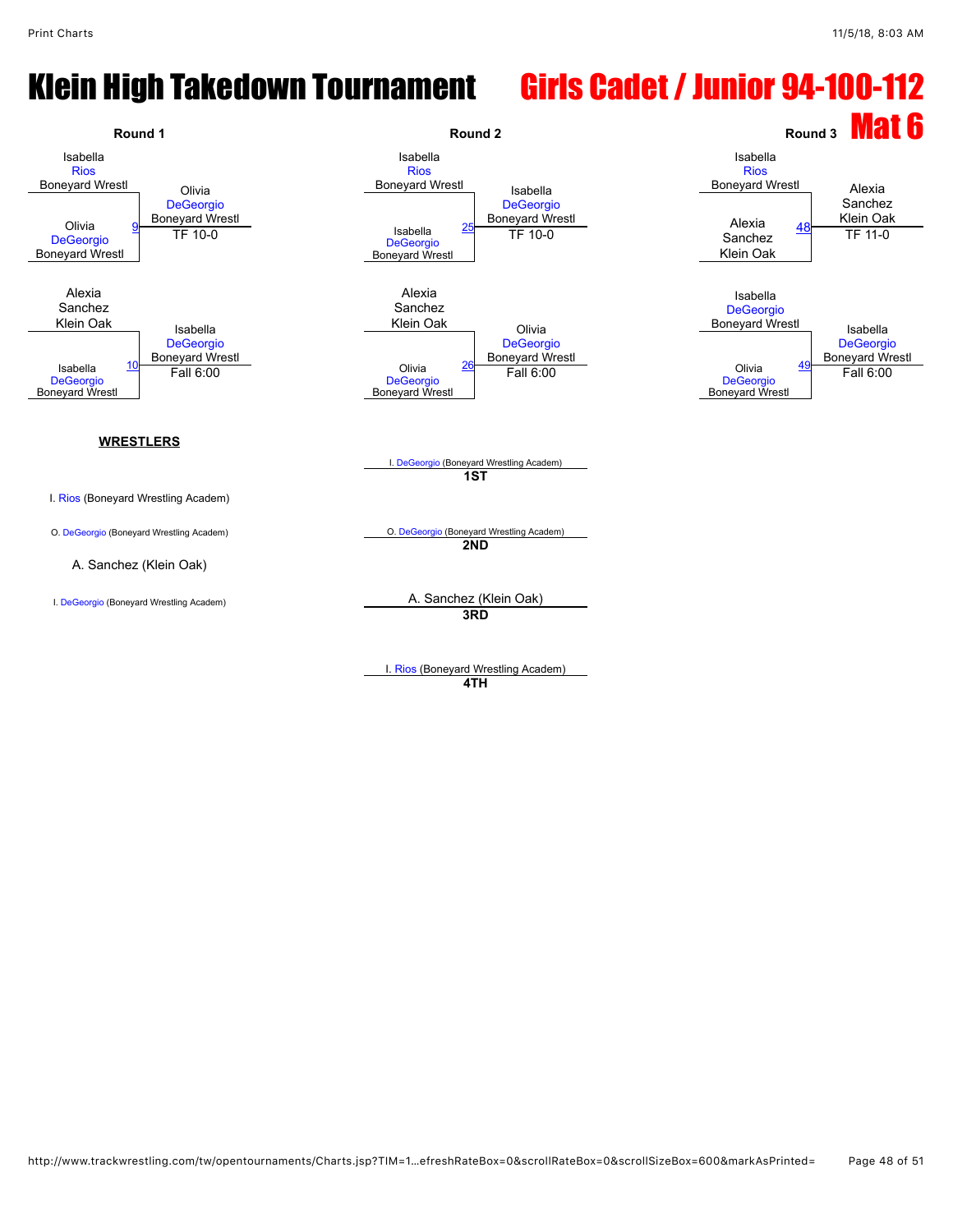## Klein High Takedown Tournament Girls Cadet / Junior 94-100-112

![](_page_47_Figure_3.jpeg)

I. [Rios](javascript:viewProfile(1816029096)) (Boneyard Wrestling Academ) **4TH**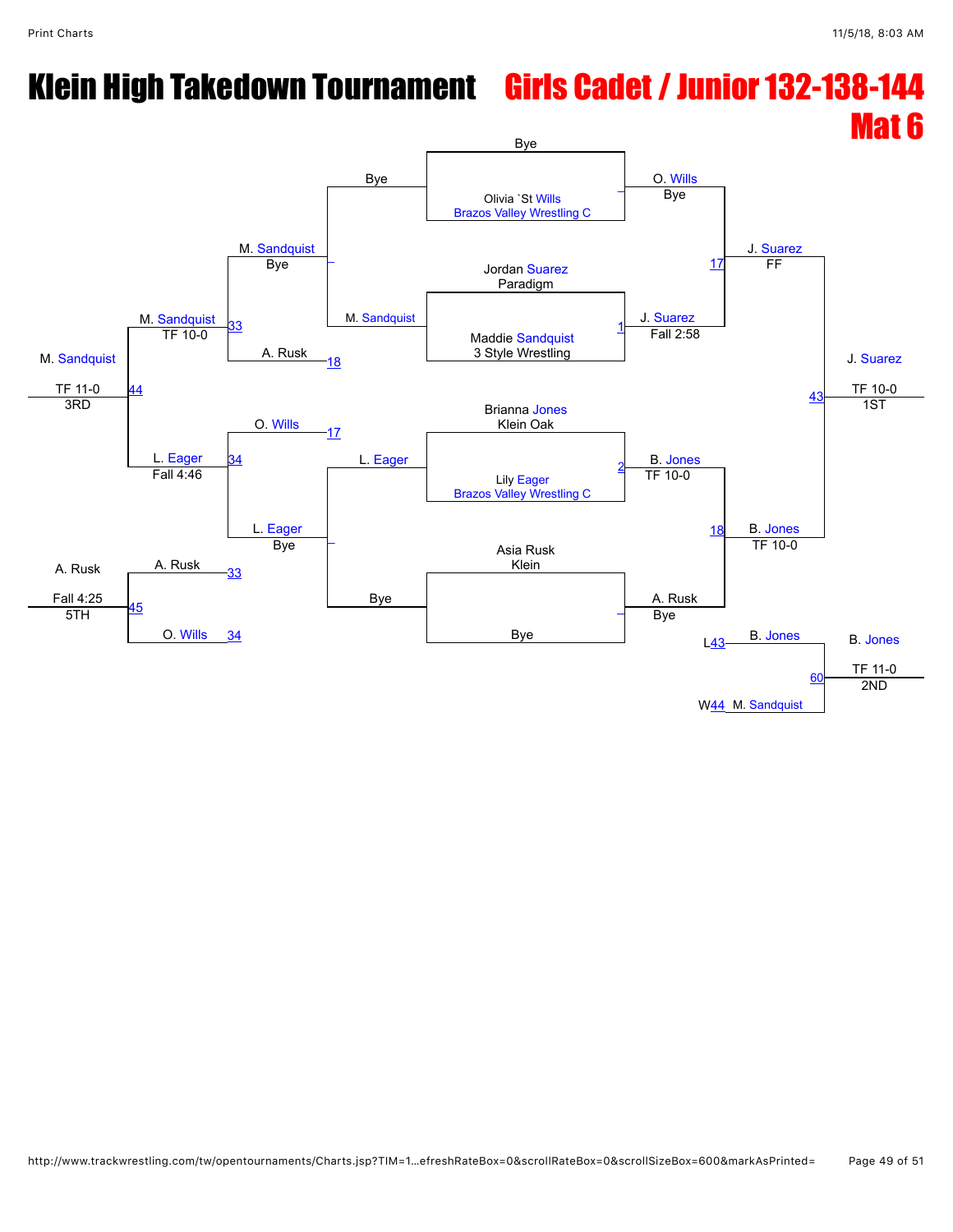# Klein High Takedown Tournament Girls Cadet / Junior 132-138-144

![](_page_48_Figure_3.jpeg)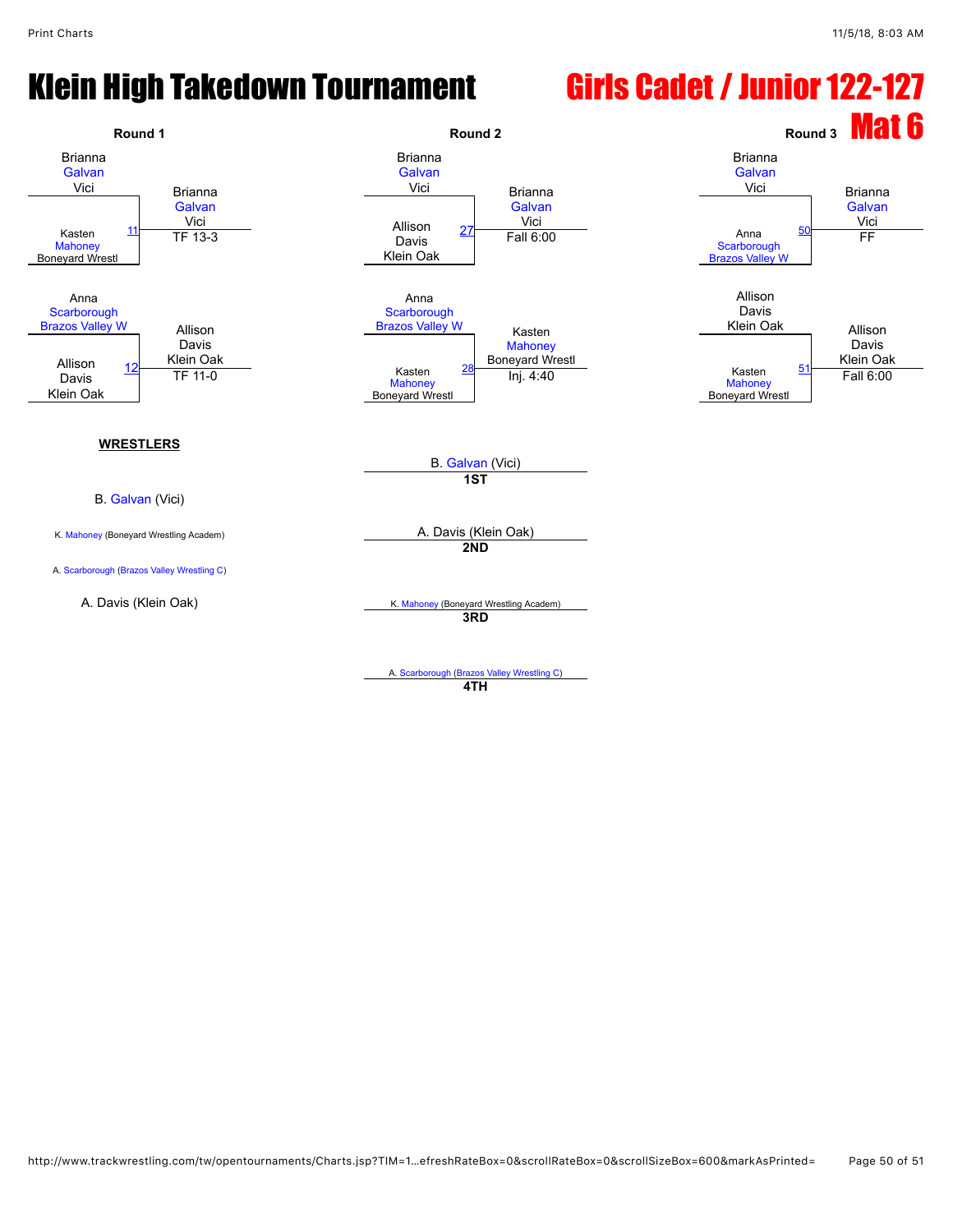### Klein High Takedown Tournament Girls Cadet / Junior 122-127

![](_page_49_Figure_3.jpeg)